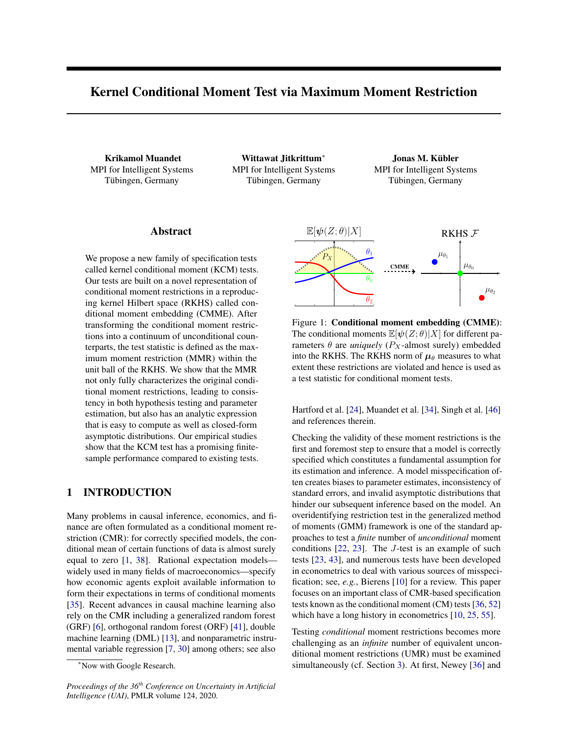# Kernel Conditional Moment Test via Maximum Moment Restriction

Krikamol Muandet MPI for Intelligent Systems Tübingen, Germany

Wittawat Jitkrittum<sup>∗</sup> MPI for Intelligent Systems Tübingen, Germany

Jonas M. Kübler MPI for Intelligent Systems Tübingen, Germany

# Abstract

We propose a new family of specification tests called kernel conditional moment (KCM) tests. Our tests are built on a novel representation of conditional moment restrictions in a reproducing kernel Hilbert space (RKHS) called conditional moment embedding (CMME). After transforming the conditional moment restrictions into a continuum of unconditional counterparts, the test statistic is defined as the maximum moment restriction (MMR) within the unit ball of the RKHS. We show that the MMR not only fully characterizes the original conditional moment restrictions, leading to consistency in both hypothesis testing and parameter estimation, but also has an analytic expression that is easy to compute as well as closed-form asymptotic distributions. Our empirical studies show that the KCM test has a promising finitesample performance compared to existing tests.

# 1 INTRODUCTION

Many problems in causal inference, economics, and finance are often formulated as a conditional moment restriction (CMR): for correctly specified models, the conditional mean of certain functions of data is almost surely equal to zero [\[1,](#page-8-0) [38\]](#page-9-0). Rational expectation models widely used in many fields of macroeconomics—specify how economic agents exploit available information to form their expectations in terms of conditional moments [\[35\]](#page-9-1). Recent advances in causal machine learning also rely on the CMR including a generalized random forest (GRF) [\[6\]](#page-8-1), orthogonal random forest (ORF) [\[41\]](#page-9-2), double machine learning (DML) [\[13\]](#page-9-3), and nonparametric instrumental variable regression [\[7,](#page-8-2) [30\]](#page-9-4) among others; see also

*Proceedings of the 36th Conference on Uncertainty in Artificial Intelligence (UAI)*, PMLR volume 124, 2020.

<span id="page-0-0"></span>

Figure 1: Conditional moment embedding (CMME): The conditional moments  $\mathbb{E}[\psi(Z;\theta)|X]$  for different parameters  $\theta$  are *uniquely* ( $P_X$ -almost surely) embedded into the RKHS. The RKHS norm of  $\mu_{\theta}$  measures to what extent these restrictions are violated and hence is used as a test statistic for conditional moment tests.

Hartford et al. [\[24\]](#page-9-5), Muandet et al. [\[34\]](#page-9-6), Singh et al. [\[46\]](#page-9-7) and references therein.

Checking the validity of these moment restrictions is the first and foremost step to ensure that a model is correctly specified which constitutes a fundamental assumption for its estimation and inference. A model misspecification often creates biases to parameter estimates, inconsistency of standard errors, and invalid asymptotic distributions that hinder our subsequent inference based on the model. An overidentifying restriction test in the generalized method of moments (GMM) framework is one of the standard approaches to test a *finite* number of *unconditional* moment conditions [\[22,](#page-9-8) [23\]](#page-9-9). The J-test is an example of such tests [\[23,](#page-9-9) [43\]](#page-9-10), and numerous tests have been developed in econometrics to deal with various sources of misspecification; see, *e.g.*, Bierens [\[10\]](#page-8-3) for a review. This paper focuses on an important class of CMR-based specification tests known as the conditional moment (CM) tests [\[36,](#page-9-11) [52\]](#page-9-12) which have a long history in econometrics [\[10,](#page-8-3) [25,](#page-9-13) [55\]](#page-9-14).

Testing *conditional* moment restrictions becomes more challenging as an *infinite* number of equivalent unconditional moment restrictions (UMR) must be examined simultaneously (cf. Section [3\)](#page-2-0). At first, Newey [\[36\]](#page-9-11) and

<sup>∗</sup>Now with Google Research.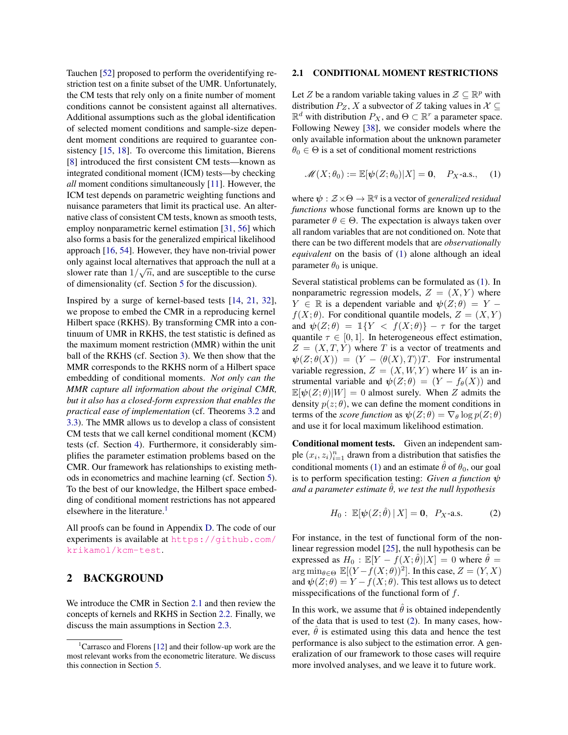Tauchen [\[52\]](#page-9-12) proposed to perform the overidentifying restriction test on a finite subset of the UMR. Unfortunately, the CM tests that rely only on a finite number of moment conditions cannot be consistent against all alternatives. Additional assumptions such as the global identification of selected moment conditions and sample-size dependent moment conditions are required to guarantee consistency [\[15,](#page-9-15) [18\]](#page-9-16). To overcome this limitation, Bierens [\[8\]](#page-8-4) introduced the first consistent CM tests—known as integrated conditional moment (ICM) tests—by checking *all* moment conditions simultaneously [\[11\]](#page-8-5). However, the ICM test depends on parametric weighting functions and nuisance parameters that limit its practical use. An alternative class of consistent CM tests, known as smooth tests, employ nonparametric kernel estimation [\[31,](#page-9-17) [56\]](#page-9-18) which also forms a basis for the generalized empirical likelihood approach [\[16,](#page-9-19) [54\]](#page-9-20). However, they have non-trivial power only against local alternatives that approach the null at a slower rate than  $1/\sqrt{n}$ , and are susceptible to the curse of dimensionality (cf. Section [5](#page-5-0) for the discussion).

Inspired by a surge of kernel-based tests [\[14,](#page-9-21) [21,](#page-9-22) [32\]](#page-9-23), we propose to embed the CMR in a reproducing kernel Hilbert space (RKHS). By transforming CMR into a continuum of UMR in RKHS, the test statistic is defined as the maximum moment restriction (MMR) within the unit ball of the RKHS (cf. Section [3\)](#page-2-0). We then show that the MMR corresponds to the RKHS norm of a Hilbert space embedding of conditional moments. *Not only can the MMR capture all information about the original CMR, but it also has a closed-form expression that enables the practical ease of implementation* (cf. Theorems [3.2](#page-3-0) and [3.3\)](#page-4-0). The MMR allows us to develop a class of consistent CM tests that we call kernel conditional moment (KCM) tests (cf. Section [4\)](#page-4-1). Furthermore, it considerably simplifies the parameter estimation problems based on the CMR. Our framework has relationships to existing methods in econometrics and machine learning (cf. Section [5\)](#page-5-0). To the best of our knowledge, the Hilbert space embedding of conditional moment restrictions has not appeared elsewhere in the literature.<sup>[1](#page-1-0)</sup>

All proofs can be found in Appendix [D.](#page-13-0) The code of our experiments is available at [https://github.com/](https://github.com/krikamol/kcm-test) [krikamol/kcm-test](https://github.com/krikamol/kcm-test).

## 2 BACKGROUND

We introduce the CMR in Section [2.1](#page-1-1) and then review the concepts of kernels and RKHS in Section [2.2.](#page-2-1) Finally, we discuss the main assumptions in Section [2.3.](#page-2-2)

### <span id="page-1-1"></span>2.1 CONDITIONAL MOMENT RESTRICTIONS

Let Z be a random variable taking values in  $\mathcal{Z} \subseteq \mathbb{R}^p$  with distribution  $P_Z$ , X a subvector of Z taking values in  $X \subseteq$  $\mathbb{R}^d$  with distribution  $P_X$ , and  $\Theta \subset \mathbb{R}^r$  a parameter space. Following Newey [\[38\]](#page-9-0), we consider models where the only available information about the unknown parameter  $\theta_0 \in \Theta$  is a set of conditional moment restrictions

<span id="page-1-2"></span>
$$
\mathscr{M}(X;\theta_0) := \mathbb{E}[\psi(Z;\theta_0)|X] = \mathbf{0}, \quad P_X\text{-a.s.,} \quad (1)
$$

where  $\psi : \mathcal{Z} \times \Theta \to \mathbb{R}^q$  is a vector of *generalized residual functions* whose functional forms are known up to the parameter  $\theta \in \Theta$ . The expectation is always taken over all random variables that are not conditioned on. Note that there can be two different models that are *observationally equivalent* on the basis of [\(1\)](#page-1-2) alone although an ideal parameter  $\theta_0$  is unique.

Several statistical problems can be formulated as [\(1\)](#page-1-2). In nonparametric regression models,  $Z = (X, Y)$  where  $Y \in \mathbb{R}$  is a dependent variable and  $\psi(Z; \theta) = Y - \theta Z$  $f(X; \theta)$ . For conditional quantile models,  $Z = (X, Y)$ and  $\psi(Z;\theta) = \mathbb{1}\{Y \leq f(X;\theta)\} - \tau$  for the target quantile  $\tau \in [0, 1]$ . In heterogeneous effect estimation,  $Z = (X, T, Y)$  where T is a vector of treatments and  $\psi(Z; \theta(X)) = (Y - \langle \theta(X), T \rangle)T$ . For instrumental variable regression,  $Z = (X, W, Y)$  where W is an instrumental variable and  $\psi(Z; \theta) = (Y - f_{\theta}(X))$  and  $\mathbb{E}[\psi(Z;\theta)|W] = 0$  almost surely. When Z admits the density  $p(z; \theta)$ , we can define the moment conditions in terms of the *score function* as  $\psi(Z; \theta) = \nabla_{\theta} \log p(Z; \theta)$ and use it for local maximum likelihood estimation.

Conditional moment tests. Given an independent sample  $(x_i, z_i)_{i=1}^n$  drawn from a distribution that satisfies the conditional moments [\(1\)](#page-1-2) and an estimate  $\hat{\theta}$  of  $\theta_0$ , our goal is to perform specification testing: *Given a function* ψ *and a parameter estimate*  $\hat{\theta}$ *, we test the null hypothesis* 

<span id="page-1-3"></span>
$$
H_0: \mathbb{E}[\psi(Z;\hat{\theta}) \,|\, X] = \mathbf{0}, \quad P_X\text{-a.s.}
$$
 (2)

For instance, in the test of functional form of the nonlinear regression model [\[25\]](#page-9-13), the null hypothesis can be expressed as  $H_0 : \mathbb{E}[Y - f(X; \hat{\theta})|X] = 0$  where  $\hat{\theta} =$  $\arg \min_{\theta \in \Theta} \mathbb{E}[(Y - f(X; \theta))^2]$ . In this case,  $Z = (Y, X)$ and  $\psi(Z; \theta) = Y - f(X; \theta)$ . This test allows us to detect misspecifications of the functional form of  $f$ .

In this work, we assume that  $\hat{\theta}$  is obtained independently of the data that is used to test [\(2\)](#page-1-3). In many cases, however,  $\hat{\theta}$  is estimated using this data and hence the test performance is also subject to the estimation error. A generalization of our framework to those cases will require more involved analyses, and we leave it to future work.

<span id="page-1-0"></span><sup>&</sup>lt;sup>1</sup>Carrasco and Florens [\[12\]](#page-9-24) and their follow-up work are the most relevant works from the econometric literature. We discuss this connection in Section [5.](#page-5-0)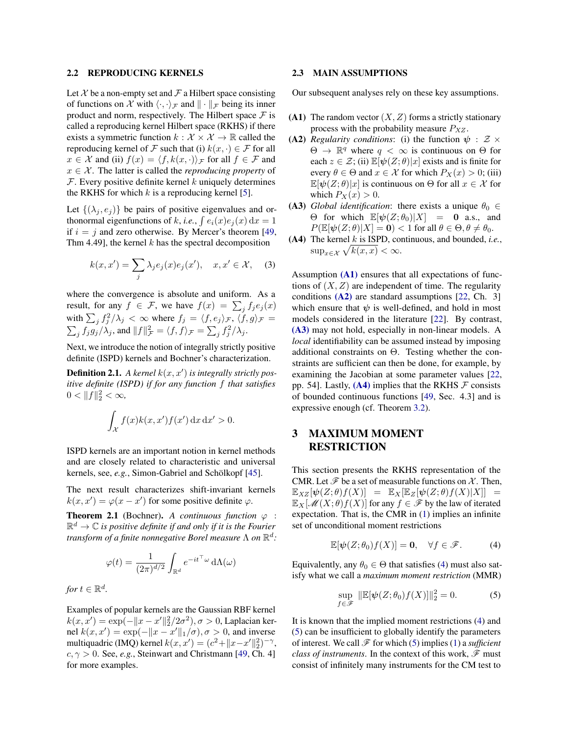### <span id="page-2-1"></span>2.2 REPRODUCING KERNELS

Let  $X$  be a non-empty set and  $\mathcal F$  a Hilbert space consisting of functions on X with  $\langle \cdot, \cdot \rangle_{\mathcal{F}}$  and  $\| \cdot \|_{\mathcal{F}}$  being its inner product and norm, respectively. The Hilbert space  $\mathcal F$  is called a reproducing kernel Hilbert space (RKHS) if there exists a symmetric function  $k : \mathcal{X} \times \mathcal{X} \to \mathbb{R}$  called the reproducing kernel of F such that (i)  $k(x, \cdot) \in \mathcal{F}$  for all  $x \in \mathcal{X}$  and (ii)  $f(x) = \langle f, k(x, \cdot) \rangle_{\mathcal{F}}$  for all  $f \in \mathcal{F}$  and  $x \in \mathcal{X}$ . The latter is called the *reproducing property* of  $F$ . Every positive definite kernel k uniquely determines the RKHS for which  $k$  is a reproducing kernel [\[5\]](#page-8-6).

Let  $\{(\lambda_i, e_i)\}\$  be pairs of positive eigenvalues and orthonormal eigenfunctions of k, *i.e.*,  $\int e_i(x)e_j(x) dx = 1$ if  $i = j$  and zero otherwise. By Mercer's theorem [\[49,](#page-9-25) Thm 4.49], the kernel  $k$  has the spectral decomposition

<span id="page-2-10"></span>
$$
k(x, x') = \sum_{j} \lambda_j e_j(x) e_j(x'), \quad x, x' \in \mathcal{X}, \quad (3)
$$

where the convergence is absolute and uniform. As a result, for any  $f \in \mathcal{F}$ , we have  $f(x) = \sum_j f_j e_j(x)$ with  $\sum_j f_j^2/\lambda_j < \infty$  where  $f_j = \langle f, e_j \rangle_{\mathcal{F}}$ ,  $\langle f, g \rangle_{\mathcal{F}} =$  $\sum_j f_j g_j / \lambda_j$ , and  $||f||^2_{\mathcal{F}} = \langle f, f \rangle_{\mathcal{F}} = \sum_j f_j^2 / \lambda_j$ .

Next, we introduce the notion of integrally strictly positive definite (ISPD) kernels and Bochner's characterization.

**Definition 2.1.** A kernel  $k(x, x')$  is integrally strictly pos*itive definite (ISPD) if for any function* f *that satisfies*  $0 < ||f||_2^2 < \infty$ ,

$$
\int_{\mathcal{X}} f(x)k(x, x')f(x') \,dx \,dx' > 0.
$$

ISPD kernels are an important notion in kernel methods and are closely related to characteristic and universal kernels, see, *e.g.*, Simon-Gabriel and Schölkopf [[45\]](#page-9-26).

The next result characterizes shift-invariant kernels  $k(x, x') = \varphi(x - x')$  for some positive definite  $\varphi$ .

<span id="page-2-9"></span>**Theorem 2.1** (Bochner). *A continuous function*  $\varphi$  :  $\mathbb{R}^d \to \mathbb{C}$  is positive definite if and only if it is the Fourier *transform of a finite nonnegative Borel measure* Λ *on* R d *:*

$$
\varphi(t) = \frac{1}{(2\pi)^{d/2}} \int_{\mathbb{R}^d} e^{-it^\top \omega} d\Lambda(\omega)
$$

*for*  $t \in \mathbb{R}^d$ .

Examples of popular kernels are the Gaussian RBF kernel  $k(x, x') = \exp(-\|x - x'\|_2^2/2\sigma^2), \sigma > 0$ , Laplacian kernel  $k(x, x') = \exp(-\|x - x'\|_1/\sigma), \sigma > 0$ , and inverse multiquadric (IMQ) kernel  $k(x, x') = (c^2 + ||x - x'||_2^2)^{-\gamma}$ ,  $c, \gamma > 0$ . See, *e.g.*, Steinwart and Christmann [\[49,](#page-9-25) Ch. 4] for more examples.

### <span id="page-2-2"></span>2.3 MAIN ASSUMPTIONS

Our subsequent analyses rely on these key assumptions.

- <span id="page-2-3"></span>(A1) The random vector  $(X, Z)$  forms a strictly stationary process with the probability measure  $P_{XZ}$ .
- <span id="page-2-4"></span>(A2) *Regularity conditions*: (i) the function  $\psi : \mathcal{Z} \times$  $\Theta \to \mathbb{R}^q$  where  $q < \infty$  is continuous on  $\Theta$  for each  $z \in \mathcal{Z}$ ; (ii)  $\mathbb{E}[\psi(Z;\theta)|x]$  exists and is finite for every  $\theta \in \Theta$  and  $x \in \mathcal{X}$  for which  $P_X(x) > 0$ ; (iii)  $\mathbb{E}[\psi(Z;\theta)|x]$  is continuous on  $\Theta$  for all  $x \in \mathcal{X}$  for which  $P_X(x) > 0$ .
- <span id="page-2-5"></span>(A3) *Global identification*: there exists a unique  $\theta_0 \in$ Θ for which  $\mathbb{E}[\psi(Z; \theta_0)|X] = 0$  a.s., and  $P(\mathbb{E}[\psi(Z;\theta)|X] = 0) < 1$  for all  $\theta \in \Theta, \theta \neq \theta_0$ .
- <span id="page-2-6"></span>(A4) The kernel k is ISPD, continuous, and bounded, *i.e.*,  $\sup_{x \in \mathcal{X}} \sqrt{k(x, x)} < \infty.$

Assumption  $(A1)$  ensures that all expectations of functions of  $(X, Z)$  are independent of time. The regularity conditions  $(A2)$  are standard assumptions [\[22,](#page-9-8) Ch. 3] which ensure that  $\psi$  is well-defined, and hold in most models considered in the literature [\[22\]](#page-9-8). By contrast, [\(A3\)](#page-2-5) may not hold, especially in non-linear models. A *local* identifiability can be assumed instead by imposing additional constraints on  $\Theta$ . Testing whether the constraints are sufficient can then be done, for example, by examining the Jacobian at some parameter values [\[22,](#page-9-8) pp. 54]. Lastly,  $(A4)$  implies that the RKHS  $\mathcal F$  consists of bounded continuous functions [\[49,](#page-9-25) Sec. 4.3] and is expressive enough (cf. Theorem [3.2\)](#page-3-0).

# <span id="page-2-0"></span>3 MAXIMUM MOMENT RESTRICTION

This section presents the RKHS representation of the CMR. Let  $\mathcal F$  be a set of measurable functions on X. Then,  $\mathbb{E}_{XZ}[\psi(Z;\theta)f(X)] = \mathbb{E}_{X}[\mathbb{E}_{Z}[\psi(Z;\theta)f(X)|X]] =$  $\mathbb{E}_X[\mathcal{M}(X;\theta)f(X)]$  for any  $f \in \mathcal{F}$  by the law of iterated expectation. That is, the CMR in [\(1\)](#page-1-2) implies an infinite set of unconditional moment restrictions

<span id="page-2-7"></span>
$$
\mathbb{E}[\boldsymbol{\psi}(Z;\theta_0)f(X)] = \mathbf{0}, \quad \forall f \in \mathscr{F}.
$$
 (4)

Equivalently, any  $\theta_0 \in \Theta$  that satisfies [\(4\)](#page-2-7) must also satisfy what we call a *maximum moment restriction* (MMR)

<span id="page-2-8"></span>
$$
\sup_{f \in \mathcal{F}} \|\mathbb{E}[\psi(Z; \theta_0) f(X)]\|_2^2 = 0.
$$
 (5)

It is known that the implied moment restrictions [\(4\)](#page-2-7) and [\(5\)](#page-2-8) can be insufficient to globally identify the parameters of interest. We call  $\mathcal F$  for which [\(5\)](#page-2-8) implies [\(1\)](#page-1-2) a *sufficient class of instruments*. In the context of this work,  $\mathcal{F}$  must consist of infinitely many instruments for the CM test to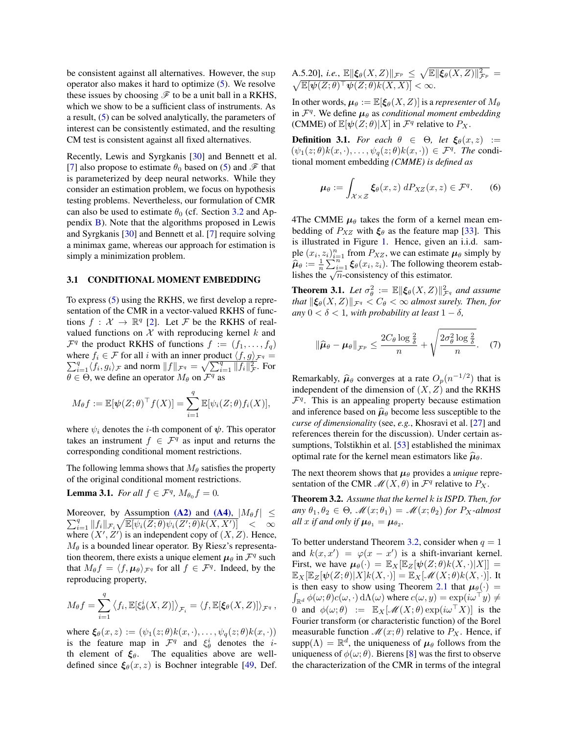be consistent against all alternatives. However, the sup operator also makes it hard to optimize [\(5\)](#page-2-8). We resolve these issues by choosing  $\mathscr F$  to be a unit ball in a RKHS, which we show to be a sufficient class of instruments. As a result, [\(5\)](#page-2-8) can be solved analytically, the parameters of interest can be consistently estimated, and the resulting CM test is consistent against all fixed alternatives.

Recently, Lewis and Syrgkanis [\[30\]](#page-9-4) and Bennett et al. [\[7\]](#page-8-2) also propose to estimate  $\theta_0$  based on [\(5\)](#page-2-8) and  $\mathscr F$  that is parameterized by deep neural networks. While they consider an estimation problem, we focus on hypothesis testing problems. Nevertheless, our formulation of CMR can also be used to estimate  $\theta_0$  (cf. Section [3.2](#page-4-2) and Appendix [B\)](#page-11-0). Note that the algorithms proposed in Lewis and Syrgkanis [\[30\]](#page-9-4) and Bennett et al. [\[7\]](#page-8-2) require solving a minimax game, whereas our approach for estimation is simply a minimization problem.

#### 3.1 CONDITIONAL MOMENT EMBEDDING

To express [\(5\)](#page-2-8) using the RKHS, we first develop a representation of the CMR in a vector-valued RKHS of functions  $f: \mathcal{X} \to \mathbb{R}^q$  [\[2\]](#page-8-7). Let F be the RKHS of realvalued functions on  $X$  with reproducing kernel  $k$  and  $\mathcal{F}^q$  the product RKHS of functions  $f := (f_1, \ldots, f_q)$ where  $f_i \in \mathcal{F}$  for all i with an inner product  $\langle f, g \rangle_{\mathcal{F}^q} =$  $\sum_{i=1}^{q} \langle f_i, g_i \rangle_{\mathcal{F}}$  and norm  $||f||_{\mathcal{F}^q} = \sqrt{\sum_{i=1}^{q} ||f_i||_{\mathcal{F}}^2}$ . For  $\theta \in \Theta$ , we define an operator  $M_{\theta}$  on  $\mathcal{F}^q$  as

$$
M_{\theta}f := \mathbb{E}[\psi(Z;\theta)^{\top}f(X)] = \sum_{i=1}^{q} \mathbb{E}[\psi_i(Z;\theta)f_i(X)],
$$

where  $\psi_i$  denotes the *i*-th component of  $\psi$ . This operator takes an instrument  $f \in \mathcal{F}^q$  as input and returns the corresponding conditional moment restrictions.

The following lemma shows that  $M_\theta$  satisfies the property of the original conditional moment restrictions.

<span id="page-3-1"></span>**Lemma 3.1.** *For all*  $f \in \mathcal{F}^q$ ,  $M_{\theta_0} f = 0$ .

 $\sum_{i=1}^q ||f_i||_{\mathcal{F}_i} \sqrt{\mathbb{E}[\psi_i(\hat{Z}; \theta)\psi_i(Z'; \theta)k(X, X')]}\quad < \quad \infty$ Moreover, by Assumption [\(A2\)](#page-2-4) and [\(A4\)](#page-2-6),  $|M_{\theta}f| \leq$ where  $(X', Z')$  is an independent copy of  $(X, Z)$ . Hence,  $M_{\theta}$  is a bounded linear operator. By Riesz's representation theorem, there exists a unique element  $\mu_{\theta}$  in  $\mathcal{F}^q$  such that  $M_{\theta} f = \langle f, \mu_{\theta} \rangle_{\mathcal{F}^q}$  for all  $f \in \mathcal{F}^q$ . Indeed, by the reproducing property,

$$
M_{\theta}f = \sum_{i=1}^{q} \langle f_i, \mathbb{E}[\xi_{\theta}^{i}(X, Z)] \rangle_{\mathcal{F}_i} = \langle f, \mathbb{E}[\xi_{\theta}(X, Z)] \rangle_{\mathcal{F}^{q}},
$$

where  $\xi_{\theta}(x, z) := (\psi_1(z; \theta)k(x, \cdot), \dots, \psi_q(z; \theta)k(x, \cdot))$ is the feature map in  $\mathcal{F}^q$  and  $\xi^i_\theta$  denotes the *i*th element of  $\xi_{\theta}$ . The equalities above are welldefined since  $\xi_{\theta}(x, z)$  is Bochner integrable [\[49,](#page-9-25) Def.

A.5.20], *i.e.*, 
$$
\mathbb{E} \|\xi_{\theta}(X, Z)\|_{\mathcal{F}^p} \leq \sqrt{\mathbb{E} \|\xi_{\theta}(X, Z)\|_{\mathcal{F}^p}^2} = \sqrt{\mathbb{E} \|\psi(Z; \theta)^\top \psi(Z; \theta) k(X, X)\|} < \infty.
$$

In other words,  $\mu_{\theta} := \mathbb{E}[\xi_{\theta}(X, Z)]$  is a *representer* of  $M_{\theta}$ in  $\mathcal{F}^q$ . We define  $\mu_\theta$  as *conditional moment embedding* (CMME) of  $\mathbb{E}[\psi(Z;\theta)|X]$  in  $\mathcal{F}^q$  relative to  $P_X$ .

**Definition 3.1.** *For each*  $\theta \in \Theta$ , *let*  $\xi_{\theta}(x, z) :=$  $(\psi_1(z;\theta)k(x,\cdot),\ldots,\psi_q(z;\theta)k(x,\cdot)) \in \mathcal{F}^q$ . The conditional moment embedding *(CMME) is defined as*

$$
\mu_{\theta} := \int_{\mathcal{X} \times \mathcal{Z}} \xi_{\theta}(x, z) \, dP_{XZ}(x, z) \in \mathcal{F}^q. \tag{6}
$$

4The CMME  $\mu_{\theta}$  takes the form of a kernel mean embedding of  $P_{XZ}$  with  $\xi_{\theta}$  as the feature map [\[33\]](#page-9-27). This is illustrated in Figure [1.](#page-0-0) Hence, given an i.i.d. sample  $(x_i, z_i)_{i=1}^n$  from  $P_{XZ}$ , we can estimate  $\mu_\theta$  simply by  $\hat{\mu}_{\theta} := \frac{1}{n} \sum_{i=1}^{n} \xi_{\theta}(x_i, z_i)$ . The following theorem establishes the  $\sqrt{n}$ -consistency of this estimator.

<span id="page-3-2"></span>**Theorem 3.1.** Let  $\sigma_{\theta}^2 := \mathbb{E} \|\xi_{\theta}(X, Z)\|_{\mathcal{F}^q}^2$  and assume *that*  $\|\xi_{\theta}(X, Z)\|_{\mathcal{F}^q} < C_{\theta} < \infty$  *almost surely. Then, for any*  $0 < \delta < 1$ *, with probability at least*  $1 - \delta$ *,* 

$$
\|\widehat{\mu}_{\theta} - \mu_{\theta}\|_{\mathcal{F}^p} \le \frac{2C_{\theta} \log \frac{2}{\delta}}{n} + \sqrt{\frac{2\sigma_{\theta}^2 \log \frac{2}{\delta}}{n}}. \quad (7)
$$

Remarkably,  $\hat{\mu}_{\theta}$  converges at a rate  $O_p(n^{-1/2})$  that is<br>independent of the dimension of  $(X, Z)$  and the PKHS independent of the dimension of  $(X, Z)$  and the RKHS  $\mathcal{F}^q$ . This is an appealing property because estimation and inference based on  $\hat{\mu}_{\theta}$  become less susceptible to the *curse of dimensionality* (see, *e.g.*, Khosravi et al. [\[27\]](#page-9-28) and references therein for the discussion). Under certain assumptions, Tolstikhin et al. [\[53\]](#page-9-29) established the minimax optimal rate for the kernel mean estimators like  $\hat{\mu}_{\theta}$ .

The next theorem shows that  $\mu_{\theta}$  provides a *unique* representation of the CMR  $\mathcal{M}(X,\theta)$  in  $\mathcal{F}^q$  relative to  $P_X$ .

<span id="page-3-0"></span>Theorem 3.2. *Assume that the kernel* k *is ISPD. Then, for*  $any \theta_1, \theta_2 \in \Theta$ ,  $\mathcal{M}(x; \theta_1) = \mathcal{M}(x; \theta_2)$  *for*  $P_X$ -almost *all* x if and only if  $\mu_{\theta_1} = \mu_{\theta_2}$ .

To better understand Theorem [3.2,](#page-3-0) consider when  $q = 1$ and  $k(x, x') = \varphi(x - x')$  is a shift-invariant kernel. First, we have  $\mu_{\theta}(\cdot) = \mathbb{E}_{X}[\mathbb{E}_{Z}[\psi(Z;\theta)k(X,\cdot)|X]] =$  $\mathbb{E}_X[\mathbb{E}_Z[\boldsymbol{\psi}(Z;\theta)|X]k(X,\cdot)] = \mathbb{E}_X[\mathscr{M}(X;\theta)k(X,\cdot)].$  It is then easy to show using Theorem [2.1](#page-2-9) that  $\mu_{\theta}(\cdot)$  =  $\int_{\mathbb{R}^d} \phi(\omega; \theta) c(\omega, \cdot) \, \mathrm{d}\Lambda(\omega)$  where  $c(\omega, y) = \exp(i\omega^\top y) \neq 0$ 0 and  $\phi(\omega;\theta) := \mathbb{E}_X[\mathcal{M}(X;\theta) \exp(i\omega^\top X)]$  is the Fourier transform (or characteristic function) of the Borel measurable function  $\mathcal{M}(x; \theta)$  relative to  $P_X$ . Hence, if supp $(\Lambda) = \mathbb{R}^d$ , the uniqueness of  $\mu_\theta$  follows from the uniqueness of  $\phi(\omega; \theta)$ . Bierens [\[8\]](#page-8-4) was the first to observe the characterization of the CMR in terms of the integral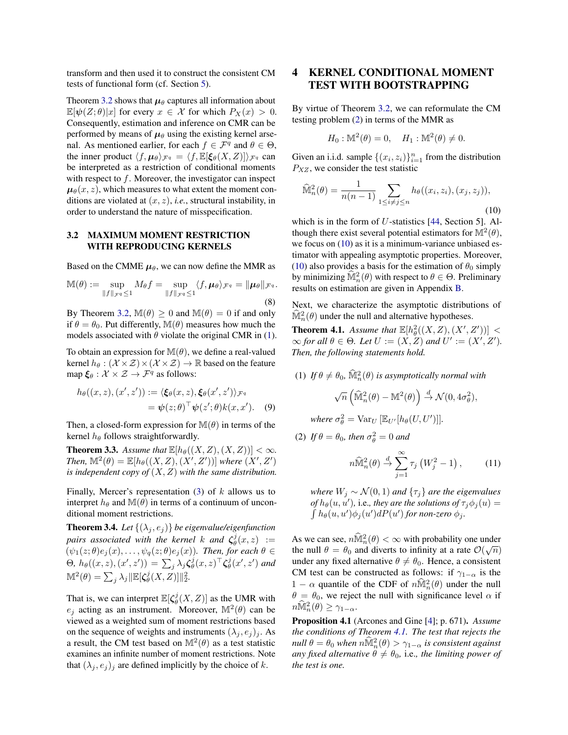transform and then used it to construct the consistent CM tests of functional form (cf. Section [5\)](#page-5-0).

Theorem [3.2](#page-3-0) shows that  $\mu_{\theta}$  captures all information about  $\mathbb{E}[\psi(Z;\theta)|x]$  for every  $x \in \mathcal{X}$  for which  $P_X(x) > 0$ . Consequently, estimation and inference on CMR can be performed by means of  $\mu_{\theta}$  using the existing kernel arsenal. As mentioned earlier, for each  $f \in \mathcal{F}^q$  and  $\theta \in \Theta$ , the inner product  $\langle f, \mu_{\theta} \rangle_{\mathcal{F}^q} = \langle f, \mathbb{E}[\xi_{\theta}(X, Z)] \rangle_{\mathcal{F}^q}$  can be interpreted as a restriction of conditional moments with respect to  $f$ . Moreover, the investigator can inspect  $\mu_{\theta}(x, z)$ , which measures to what extent the moment conditions are violated at (x, z), *i.e.*, structural instability, in order to understand the nature of misspecification.

### <span id="page-4-2"></span>3.2 MAXIMUM MOMENT RESTRICTION WITH REPRODUCING KERNELS

Based on the CMME  $\mu_{\theta}$ , we can now define the MMR as

$$
\mathbb{M}(\theta) := \sup_{\|f\|_{\mathcal{F}^q} \le 1} M_{\theta} f = \sup_{\|f\|_{\mathcal{F}^q} \le 1} \langle f, \mu_{\theta} \rangle_{\mathcal{F}^q} = \|\mu_{\theta}\|_{\mathcal{F}^q}.
$$
\n(8)

By Theorem [3.2,](#page-3-0)  $\mathbb{M}(\theta) \geq 0$  and  $\mathbb{M}(\theta) = 0$  if and only if  $\theta = \theta_0$ . Put differently,  $\mathbb{M}(\theta)$  measures how much the models associated with  $\theta$  violate the original CMR in [\(1\)](#page-1-2).

To obtain an expression for  $\mathbb{M}(\theta)$ , we define a real-valued kernel  $h_{\theta} : (\mathcal{X} \times \mathcal{Z}) \times (\mathcal{X} \times \mathcal{Z}) \rightarrow \mathbb{R}$  based on the feature map  $\xi_{\theta} : \mathcal{X} \times \mathcal{Z} \rightarrow \mathcal{F}^{q}$  as follows:

$$
h_{\theta}((x, z), (x', z')) := \langle \xi_{\theta}(x, z), \xi_{\theta}(x', z') \rangle_{\mathcal{F}^q}
$$
  
=  $\psi(z; \theta)^{\top} \psi(z'; \theta) k(x, x').$  (9)

Then, a closed-form expression for  $\mathbb{M}(\theta)$  in terms of the kernel  $h_{\theta}$  follows straightforwardly.

<span id="page-4-0"></span>**Theorem 3.3.** Assume that  $\mathbb{E}[h_{\theta}((X, Z), (X, Z))] < \infty$ . *Then,*  $\mathbb{M}^2(\theta) = \mathbb{E}[h_\theta((X, Z), (X', Z'))]$  *where*  $(X', Z')$ *is independent copy of* (X, Z) *with the same distribution.*

Finally, Mercer's representation  $(3)$  of k allows us to interpret  $h_{\theta}$  and  $\mathbb{M}(\theta)$  in terms of a continuum of unconditional moment restrictions.

<span id="page-4-6"></span>**Theorem 3.4.** *Let*  $\{(\lambda_j, e_j)\}$  *be eigenvalue/eigenfunction pairs associated with the kernel k and*  $\zeta^j_\theta(x, z)$  :=  $(\psi_1(z;\theta)e_j(x),\ldots,\psi_q(z;\theta)e_j(x)$ *. Then, for each*  $\theta \in$ Θ,  $h_\theta((x, z), (x', z')) = \sum_j \lambda_j \zeta_\theta^j(x, z)^\top \zeta_\theta^j(x', z')$  and  $\mathbb{M}^2(\theta) = \sum_j \lambda_j \|\mathbb{E}[\zeta_{\theta}^j(X, Z)]\|_2^2.$ 

That is, we can interpret  $\mathbb{E}[\zeta_{\theta}^{j}(X, Z)]$  as the UMR with  $e_j$  acting as an instrument. Moreover,  $\mathbb{M}^2(\theta)$  can be viewed as a weighted sum of moment restrictions based on the sequence of weights and instruments  $(\lambda_i, e_i)_i$ . As a result, the CM test based on  $M^2(\theta)$  as a test statistic examines an infinite number of moment restrictions. Note that  $(\lambda_j, e_j)_j$  are defined implicitly by the choice of k.

# <span id="page-4-1"></span>4 KERNEL CONDITIONAL MOMENT TEST WITH BOOTSTRAPPING

By virtue of Theorem [3.2,](#page-3-0) we can reformulate the CM testing problem [\(2\)](#page-1-3) in terms of the MMR as

$$
H_0: \mathbb{M}^2(\theta) = 0, \quad H_1: \mathbb{M}^2(\theta) \neq 0.
$$

Given an i.i.d. sample  $\{(x_i, z_i)\}_{i=1}^n$  from the distribution  $P_{XZ}$ , we consider the test statistic

<span id="page-4-3"></span>
$$
\widehat{\mathbb{M}}_n^2(\theta) = \frac{1}{n(n-1)} \sum_{1 \le i \ne j \le n} h_{\theta}((x_i, z_i), (x_j, z_j)),
$$
\n(10)

which is in the form of  $U$ -statistics [\[44,](#page-9-30) Section 5]. Although there exist several potential estimators for  $\mathbb{M}^2(\theta)$ , we focus on [\(10\)](#page-4-3) as it is a minimum-variance unbiased estimator with appealing asymptotic properties. Moreover, [\(10\)](#page-4-3) also provides a basis for the estimation of  $\theta_0$  simply by minimizing  $\widehat{M}_n^2(\theta)$  with respect to  $\theta \in \Theta$ . Preliminary results on estimation are given in Appendix [B.](#page-11-0)

Next, we characterize the asymptotic distributions of  $\widehat{\mathbb{M}}_n^2(\theta)$  under the null and alternative hypotheses.

<span id="page-4-4"></span>**Theorem 4.1.** Assume that  $\mathbb{E}[h^2_{\theta}((X,Z),(X',Z'))]$  <  $\infty$  *for all*  $\theta \in \Theta$ *. Let*  $U := (X, Z)$  *and*  $U' := (X', Z')$ *. Then, the following statements hold.*

(1) If  $\theta \neq \theta_0$ ,  $\widehat{\mathbb{M}}_n^2(\theta)$  is asymptotically normal with

$$
\sqrt{n}\left(\widehat{\mathbb{M}}^2_n(\theta)-\mathbb{M}^2(\theta)\right)\overset{d}{\to}\mathcal{N}(0,4\sigma_\theta^2),
$$

*where*  $\sigma_{\theta}^2 = \text{Var}_U \left[ \mathbb{E}_{U'} [h_{\theta}(U, U')] \right]$ .

(2) If  $\theta = \theta_0$ , then  $\sigma_{\theta}^2 = 0$  and

<span id="page-4-5"></span>
$$
n\widehat{\mathbb{M}}_n^2(\theta) \stackrel{d}{\rightarrow} \sum_{j=1}^{\infty} \tau_j \left( W_j^2 - 1 \right), \tag{11}
$$

*where*  $W_j \sim \mathcal{N}(0, 1)$  *and*  $\{\tau_j\}$  *are the eigenvalues of*  $h_{\theta}(u, u')$ , i.e., they are the solutions of  $\tau_j \phi_j(u) =$  $\int h_{\theta}(u, u') \phi_j(u') dP(u')$  for non-zero  $\phi_j$ .

As we can see,  $n\widehat{M}_n^2(\theta) < \infty$  with probability one under the null  $\theta = \theta_0$  and diverts to infinity at a rate  $\mathcal{O}(\sqrt{n})$ under any fixed alternative  $\theta \neq \theta_0$ . Hence, a consistent CM test can be constructed as follows: if  $\gamma_{1-\alpha}$  is the 1 –  $\alpha$  quantile of the CDF of  $n\widehat{M}_n^2(\theta)$  under the null  $\theta = \theta_0$ , we reject the null with significance level  $\alpha$  if  $n\widehat{\mathbb{M}}_n^2(\theta) \geq \gamma_{1-\alpha}.$ 

Proposition 4.1 (Arcones and Gine [\[4\]](#page-8-8); p. 671). *Assume the conditions of Theorem [4.1.](#page-4-4) The test that rejects the null*  $\theta = \theta_0$  *when*  $n \widehat{\mathbb{M}}_n^2(\theta) > \gamma_{1-\alpha}$  *is consistent against any fixed alternative*  $\theta \neq \theta_0$ *, i.e., the limiting power of the test is one.*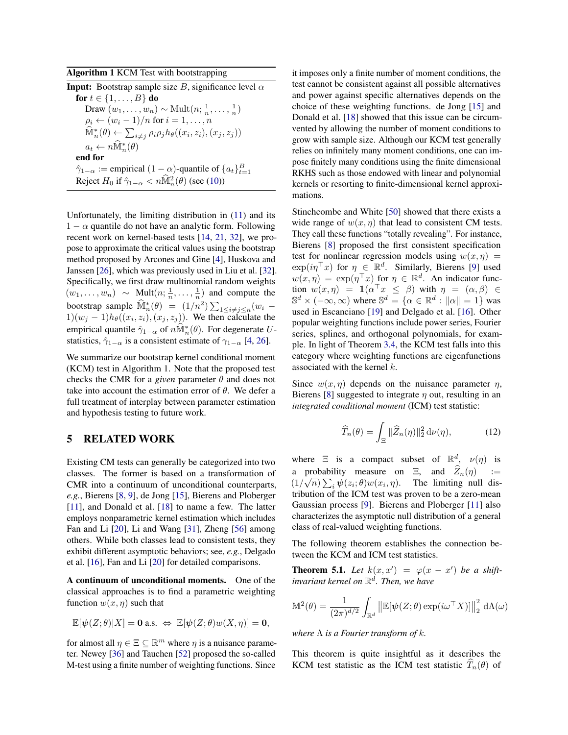<span id="page-5-2"></span>Algorithm 1 KCM Test with bootstrapping

| <b>Input:</b> Bootstrap sample size B, significance level $\alpha$                                         |  |  |  |  |
|------------------------------------------------------------------------------------------------------------|--|--|--|--|
| for $t \in \{1, , B\}$ do                                                                                  |  |  |  |  |
| Draw $(w_1, \ldots, w_n) \sim \text{Mult}(n; \frac{1}{n}, \ldots, \frac{1}{n})$                            |  |  |  |  |
| $\rho_i \leftarrow (w_i - 1)/n$ for $i = 1, , n$                                                           |  |  |  |  |
| $\hat{\mathbb{M}}_n^*(\theta) \leftarrow \sum_{i \neq j} \rho_i \rho_j h_{\theta}((x_i, z_i), (x_j, z_j))$ |  |  |  |  |
| $a_t \leftarrow n\widehat{\mathbb{M}}_n^*(\theta)$                                                         |  |  |  |  |
| end for                                                                                                    |  |  |  |  |
| $\hat{\gamma}_{1-\alpha}$ := empirical $(1-\alpha)$ -quantile of $\{a_t\}_{t=1}^B$                         |  |  |  |  |
| Reject $H_0$ if $\hat{\gamma}_{1-\alpha} < n\hat{\mathbb{M}}_n^2(\theta)$ (see (10))                       |  |  |  |  |

Unfortunately, the limiting distribution in [\(11\)](#page-4-5) and its  $1 - \alpha$  quantile do not have an analytic form. Following recent work on kernel-based tests [\[14,](#page-9-21) [21,](#page-9-22) [32\]](#page-9-23), we propose to approximate the critical values using the bootstrap method proposed by Arcones and Gine [\[4\]](#page-8-8), Huskova and Janssen [\[26\]](#page-9-31), which was previously used in Liu et al. [\[32\]](#page-9-23). Specifically, we first draw multinomial random weights  $(w_1, \ldots, w_n) \sim \text{Mult}(n; \frac{1}{n}, \ldots, \frac{1}{n})$  and compute the bootstrap sample  $\widehat{\mathbb{M}}_n^*(\theta) = (1/n^2) \sum_{1 \le i \ne j \le n} (w_i 1)(w_j - 1)h_\theta((x_i, z_i), (x_j, z_j))$ . We then calculate the empirical quantile  $\hat{\gamma}_{1-\alpha}$  of  $n\widehat{\mathbb{M}}_n^*(\theta)$ . For degenerate Ustatistics,  $\hat{\gamma}_{1-\alpha}$  is a consistent estimate of  $\gamma_{1-\alpha}$  [\[4,](#page-8-8) [26\]](#page-9-31).

We summarize our bootstrap kernel conditional moment (KCM) test in Algorithm 1. Note that the proposed test checks the CMR for a *given* parameter  $\theta$  and does not take into account the estimation error of  $\theta$ . We defer a full treatment of interplay between parameter estimation and hypothesis testing to future work.

## <span id="page-5-0"></span>5 RELATED WORK

Existing CM tests can generally be categorized into two classes. The former is based on a transformation of CMR into a continuum of unconditional counterparts, *e.g.*, Bierens [\[8,](#page-8-4) [9\]](#page-8-9), de Jong [\[15\]](#page-9-15), Bierens and Ploberger [\[11\]](#page-8-5), and Donald et al. [\[18\]](#page-9-16) to name a few. The latter employs nonparametric kernel estimation which includes Fan and Li [\[20\]](#page-9-32), Li and Wang [\[31\]](#page-9-17), Zheng [\[56\]](#page-9-18) among others. While both classes lead to consistent tests, they exhibit different asymptotic behaviors; see, *e.g.*, Delgado et al. [\[16\]](#page-9-19), Fan and Li [\[20\]](#page-9-32) for detailed comparisons.

A continuum of unconditional moments. One of the classical approaches is to find a parametric weighting function  $w(x, \eta)$  such that

$$
\mathbb{E}[\psi(Z;\theta)|X] = \mathbf{0} \text{ a.s. } \Leftrightarrow \ \mathbb{E}[\psi(Z;\theta)w(X,\eta)] = \mathbf{0},
$$

for almost all  $\eta \in \Xi \subseteq \mathbb{R}^m$  where  $\eta$  is a nuisance parameter. Newey [\[36\]](#page-9-11) and Tauchen [\[52\]](#page-9-12) proposed the so-called M-test using a finite number of weighting functions. Since

it imposes only a finite number of moment conditions, the test cannot be consistent against all possible alternatives and power against specific alternatives depends on the choice of these weighting functions. de Jong [\[15\]](#page-9-15) and Donald et al. [\[18\]](#page-9-16) showed that this issue can be circumvented by allowing the number of moment conditions to grow with sample size. Although our KCM test generally relies on infinitely many moment conditions, one can impose finitely many conditions using the finite dimensional RKHS such as those endowed with linear and polynomial kernels or resorting to finite-dimensional kernel approximations.

Stinchcombe and White [\[50\]](#page-9-33) showed that there exists a wide range of  $w(x, \eta)$  that lead to consistent CM tests. They call these functions "totally revealing". For instance, Bierens [\[8\]](#page-8-4) proposed the first consistent specification test for nonlinear regression models using  $w(x, \eta)$  =  $\exp(i\eta^\top x)$  for  $\eta \in \mathbb{R}^d$ . Similarly, Bierens [\[9\]](#page-8-9) used  $w(x, \eta) = \exp(\eta^\top x)$  for  $\eta \in \mathbb{R}^d$ . An indicator function  $w(x, \eta) = \mathbb{1}(\alpha^{\top} x \leq \beta)$  with  $\eta = (\alpha, \beta) \in$  $\mathbb{S}^d \times (-\infty, \infty)$  where  $\mathbb{S}^d = \{ \alpha \in \mathbb{R}^d : ||\alpha|| = 1 \}$  was used in Escanciano [\[19\]](#page-9-34) and Delgado et al. [\[16\]](#page-9-19). Other popular weighting functions include power series, Fourier series, splines, and orthogonal polynomials, for example. In light of Theorem [3.4,](#page-4-6) the KCM test falls into this category where weighting functions are eigenfunctions associated with the kernel k.

Since  $w(x, \eta)$  depends on the nuisance parameter  $\eta$ , Bierens [\[8\]](#page-8-4) suggested to integrate  $\eta$  out, resulting in an *integrated conditional moment* (ICM) test statistic:

<span id="page-5-1"></span>
$$
\widehat{T}_n(\theta) = \int_{\Xi} ||\widehat{Z}_n(\eta)||_2^2 d\nu(\eta), \tag{12}
$$

where  $\Xi$  is a compact subset of  $\mathbb{R}^d$ ,  $\nu(\eta)$  is a probability measure on  $\Xi$ , and  $Z_n(\eta) :=$  $(1/\sqrt{n})\sum_i \psi(z_i;\theta)w(x_i,\eta)$ . The limiting null distribution of the ICM test was proven to be a zero-mean Gaussian process [\[9\]](#page-8-9). Bierens and Ploberger [\[11\]](#page-8-5) also characterizes the asymptotic null distribution of a general class of real-valued weighting functions.

The following theorem establishes the connection between the KCM and ICM test statistics.

<span id="page-5-3"></span>**Theorem 5.1.** Let  $k(x, x') = \varphi(x - x')$  be a shift*invariant kernel on* R d *. Then, we have*

$$
\mathbb{M}^2(\theta) = \frac{1}{(2\pi)^{d/2}} \int_{\mathbb{R}^d} \left\| \mathbb{E}[\boldsymbol{\psi}(Z;\theta) \exp(i\omega^\top X)] \right\|_2^2 \, \mathrm{d}\Lambda(\omega)
$$

*where* Λ *is a Fourier transform of* k*.*

This theorem is quite insightful as it describes the KCM test statistic as the ICM test statistic  $T_n(\theta)$  of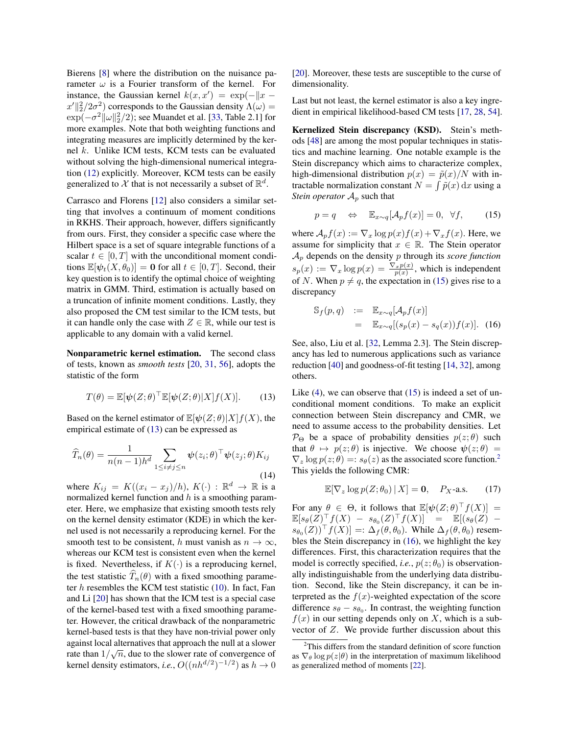Bierens [\[8\]](#page-8-4) where the distribution on the nuisance parameter  $\omega$  is a Fourier transform of the kernel. For instance, the Gaussian kernel  $k(x, x') = \exp(-||x - y||)$  $x'\Vert_2^2/2\sigma^2$ ) corresponds to the Gaussian density  $\Lambda(\omega)$  =  $\exp(-\sigma^2 \|\omega\|_2^2/2)$ ; see Muandet et al. [\[33,](#page-9-27) Table 2.1] for more examples. Note that both weighting functions and integrating measures are implicitly determined by the kernel k. Unlike ICM tests, KCM tests can be evaluated without solving the high-dimensional numerical integration [\(12\)](#page-5-1) explicitly. Moreover, KCM tests can be easily generalized to X that is not necessarily a subset of  $\mathbb{R}^d$ .

Carrasco and Florens [\[12\]](#page-9-24) also considers a similar setting that involves a continuum of moment conditions in RKHS. Their approach, however, differs significantly from ours. First, they consider a specific case where the Hilbert space is a set of square integrable functions of a scalar  $t \in [0, T]$  with the unconditional moment conditions  $\mathbb{E}[\psi_t(X, \theta_0)] = \mathbf{0}$  for all  $t \in [0, T]$ . Second, their key question is to identify the optimal choice of weighting matrix in GMM. Third, estimation is actually based on a truncation of infinite moment conditions. Lastly, they also proposed the CM test similar to the ICM tests, but it can handle only the case with  $Z \in \mathbb{R}$ , while our test is applicable to any domain with a valid kernel.

Nonparametric kernel estimation. The second class of tests, known as *smooth tests* [\[20,](#page-9-32) [31,](#page-9-17) [56\]](#page-9-18), adopts the statistic of the form

<span id="page-6-0"></span>
$$
T(\theta) = \mathbb{E}[\psi(Z;\theta)^\top \mathbb{E}[\psi(Z;\theta)|X]f(X)].
$$
 (13)

Based on the kernel estimator of  $\mathbb{E}[\psi(Z;\theta)|X]f(X)$ , the empirical estimate of [\(13\)](#page-6-0) can be expressed as

<span id="page-6-4"></span>
$$
\widehat{T}_n(\theta) = \frac{1}{n(n-1)h^d} \sum_{1 \le i \ne j \le n} \psi(z_i; \theta)^\top \psi(z_j; \theta) K_{ij}
$$
\n(14)

where  $K_{ij} = K((x_i - x_j)/h), K(\cdot) : \mathbb{R}^d \to \mathbb{R}$  is a normalized kernel function and  $h$  is a smoothing parameter. Here, we emphasize that existing smooth tests rely on the kernel density estimator (KDE) in which the kernel used is not necessarily a reproducing kernel. For the smooth test to be consistent, h must vanish as  $n \to \infty$ , whereas our KCM test is consistent even when the kernel is fixed. Nevertheless, if  $K(\cdot)$  is a reproducing kernel, the test statistic  $\widehat{T}_n(\theta)$  with a fixed smoothing parameter  $h$  resembles the KCM test statistic  $(10)$ . In fact, Fan and Li [\[20\]](#page-9-32) has shown that the ICM test is a special case of the kernel-based test with a fixed smoothing parameter. However, the critical drawback of the nonparametric kernel-based tests is that they have non-trivial power only against local alternatives that approach the null at a slower rate than  $1/\sqrt{n}$ , due to the slower rate of convergence of kernel density estimators, *i.e.*,  $O((nh^{d/2})^{-1/2})$  as  $h \to 0$  [\[20\]](#page-9-32). Moreover, these tests are susceptible to the curse of dimensionality.

Last but not least, the kernel estimator is also a key ingredient in empirical likelihood-based CM tests [\[17,](#page-9-35) [28,](#page-9-36) [54\]](#page-9-20).

Kernelized Stein discrepancy (KSD). Stein's methods [\[48\]](#page-9-37) are among the most popular techniques in statistics and machine learning. One notable example is the Stein discrepancy which aims to characterize complex, high-dimensional distribution  $p(x) = \tilde{p}(x)/N$  with intractable normalization constant  $N = \int \tilde{p}(x) dx$  using a *Stein operator*  $A_p$  such that

<span id="page-6-1"></span>
$$
p = q \quad \Leftrightarrow \quad \mathbb{E}_{x \sim q}[\mathcal{A}_p f(x)] = 0, \ \forall f, \tag{15}
$$

where  $A_p f(x) := \nabla_x \log p(x) f(x) + \nabla_x f(x)$ . Here, we assume for simplicity that  $x \in \mathbb{R}$ . The Stein operator A<sup>p</sup> depends on the density p through its *score function*  $s_p(x) := \nabla_x \log p(x) = \frac{\nabla_x p(x)}{p(x)}$ , which is independent of N. When  $p \neq q$ , the expectation in [\(15\)](#page-6-1) gives rise to a discrepancy

<span id="page-6-3"></span>
$$
\begin{array}{rcl}\n\mathbb{S}_f(p,q) & := & \mathbb{E}_{x \sim q}[\mathcal{A}_p f(x)] \\
& = & \mathbb{E}_{x \sim q}[(s_p(x) - s_q(x))f(x)].\n\end{array} \tag{16}
$$

See, also, Liu et al. [\[32,](#page-9-23) Lemma 2.3]. The Stein discrepancy has led to numerous applications such as variance reduction [\[40\]](#page-9-38) and goodness-of-fit testing [\[14,](#page-9-21) [32\]](#page-9-23), among others.

Like  $(4)$ , we can observe that  $(15)$  is indeed a set of unconditional moment conditions. To make an explicit connection between Stein discrepancy and CMR, we need to assume access to the probability densities. Let  $\mathcal{P}_{\Theta}$  be a space of probability densities  $p(z; \theta)$  such that  $\theta \mapsto p(z; \theta)$  is injective. We choose  $\psi(z; \theta)$  =  $\nabla_z \log p(z; \theta) =: s_{\theta}(z)$  as the associated score function.<sup>[2](#page-6-2)</sup> This yields the following CMR:

$$
\mathbb{E}[\nabla_z \log p(Z; \theta_0) | X] = \mathbf{0}, \quad P_X\text{-a.s.}
$$
 (17)

For any  $\theta \in \Theta$ , it follows that  $\mathbb{E}[\psi(Z;\theta)^{\top}f(X)] =$  $\mathbb{E}[s_{\theta}(Z)^{\top}f(X) - s_{\theta_0}(Z)^{\top}f(X)] = \mathbb{E}[(s_{\theta}(Z)$  $s_{\theta_0}(Z)$ <sup>T</sup> $f(X)$ ] =:  $\Delta_f(\theta, \theta_0)$ . While  $\Delta_f(\theta, \theta_0)$  resembles the Stein discrepancy in [\(16\)](#page-6-3), we highlight the key differences. First, this characterization requires that the model is correctly specified, *i.e.*,  $p(z; \theta_0)$  is observationally indistinguishable from the underlying data distribution. Second, like the Stein discrepancy, it can be interpreted as the  $f(x)$ -weighted expectation of the score difference  $s_{\theta} - s_{\theta_0}$ . In contrast, the weighting function  $f(x)$  in our setting depends only on X, which is a subvector of Z. We provide further discussion about this

<span id="page-6-2"></span><sup>2</sup>This differs from the standard definition of score function as  $\nabla_{\theta}$  log  $p(z|\theta)$  in the interpretation of maximum likelihood as generalized method of moments [\[22\]](#page-9-8).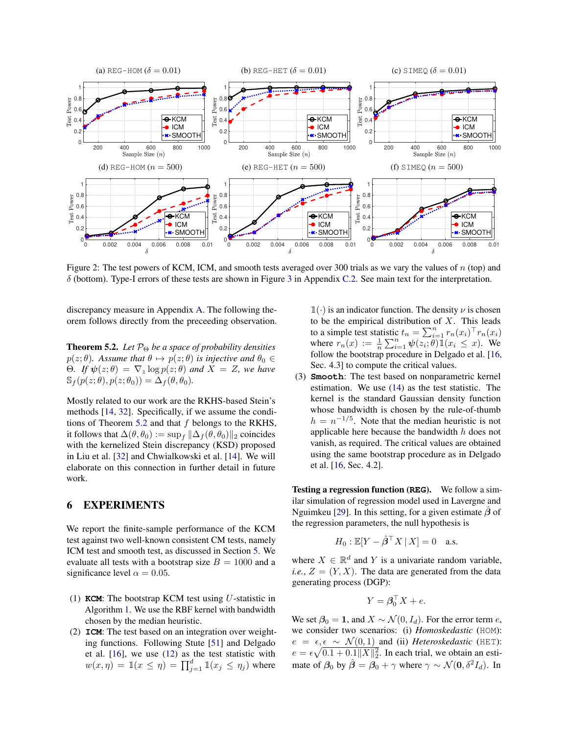<span id="page-7-1"></span>

Figure 2: The test powers of KCM, ICM, and smooth tests averaged over 300 trials as we vary the values of  $n$  (top) and δ (bottom). Type-I errors of these tests are shown in Figure [3](#page-13-1) in Appendix [C.2.](#page-13-2) See main text for the interpretation.

discrepancy measure in Appendix [A.](#page-10-0) The following theorem follows directly from the preceeding observation.

<span id="page-7-0"></span>**Theorem 5.2.** *Let*  $P_{\Theta}$  *be a space of probability densities*  $p(z; \theta)$ *. Assume that*  $\theta \mapsto p(z; \theta)$  *is injective and*  $\theta_0 \in$ Θ. If  $\psi(z; \theta) = \nabla_z \log p(z; \theta)$  *and*  $X = Z$ *, we have*  $\mathbb{S}_f(p(z; \theta), p(z; \theta_0)) = \Delta_f(\theta, \theta_0).$ 

Mostly related to our work are the RKHS-based Stein's methods [\[14,](#page-9-21) [32\]](#page-9-23). Specifically, if we assume the condi-tions of Theorem [5.2](#page-7-0) and that  $f$  belongs to the RKHS, it follows that  $\Delta(\theta, \theta_0) := \sup_{f} ||\Delta_f(\theta, \theta_0)||_2$  coincides with the kernelized Stein discrepancy (KSD) proposed in Liu et al. [\[32\]](#page-9-23) and Chwialkowski et al. [\[14\]](#page-9-21). We will elaborate on this connection in further detail in future work.

# 6 EXPERIMENTS

We report the finite-sample performance of the KCM test against two well-known consistent CM tests, namely ICM test and smooth test, as discussed in Section [5.](#page-5-0) We evaluate all tests with a bootstrap size  $B = 1000$  and a significance level  $\alpha = 0.05$ .

- (1) **KCM**: The bootstrap KCM test using U-statistic in Algorithm [1.](#page-5-2) We use the RBF kernel with bandwidth chosen by the median heuristic.
- (2) **ICM**: The test based on an integration over weighting functions. Following Stute [\[51\]](#page-9-39) and Delgado et al. [\[16\]](#page-9-19), we use [\(12\)](#page-5-1) as the test statistic with  $w(x, \eta) = \mathbb{1}(x \leq \eta) = \prod_{j=1}^d \mathbb{1}(x_j \leq \eta_j)$  where

 $\mathbb{1}(\cdot)$  is an indicator function. The density  $\nu$  is chosen to be the empirical distribution of  $X$ . This leads to a simple test statistic  $t_n = \sum_{i=1}^n r_n(x_i)^\top r_n(x_i)$ where  $r_n(x) := \frac{1}{n} \sum_{i=1}^n \psi(z_i; \theta) \mathbb{1}(x_i \leq x)$ . We follow the bootstrap procedure in Delgado et al. [\[16,](#page-9-19) Sec. 4.3] to compute the critical values.

(3) **Smooth**: The test based on nonparametric kernel estimation. We use [\(14\)](#page-6-4) as the test statistic. The kernel is the standard Gaussian density function whose bandwidth is chosen by the rule-of-thumb  $h = n^{-1/5}$ . Note that the median heuristic is not applicable here because the bandwidth h does not vanish, as required. The critical values are obtained using the same bootstrap procedure as in Delgado et al. [\[16,](#page-9-19) Sec. 4.2].

Testing a regression function (**REG**). We follow a similar simulation of regression model used in Lavergne and Nguimkeu [\[29\]](#page-9-40). In this setting, for a given estimate  $\beta$  of the regression parameters, the null hypothesis is

$$
H_0: \mathbb{E}[Y - \hat{\beta}^\top X \mid X] = 0 \quad \text{a.s.}
$$

where  $X \in \mathbb{R}^d$  and Y is a univariate random variable, *i.e.*,  $Z = (Y, X)$ . The data are generated from the data generating process (DGP):

$$
Y = \mathbf{\beta}_0^\top X + e.
$$

We set  $\beta_0 = 1$ , and  $X \sim \mathcal{N}(0, I_d)$ . For the error term e, we consider two scenarios: (i) *Homoskedastic* (HOM):  $e = \epsilon, \epsilon \sim \mathcal{N}(0, 1)$  and (ii) *Heteroskedastic* (HET):  $e = \epsilon \sqrt{0.1 + 0.1 ||X||_2^2}$ . In each trial, we obtain an estimate of  $\beta_0$  by  $\hat{\beta} = \beta_0 + \gamma$  where  $\gamma \sim \mathcal{N}(0, \delta^2 I_d)$ . In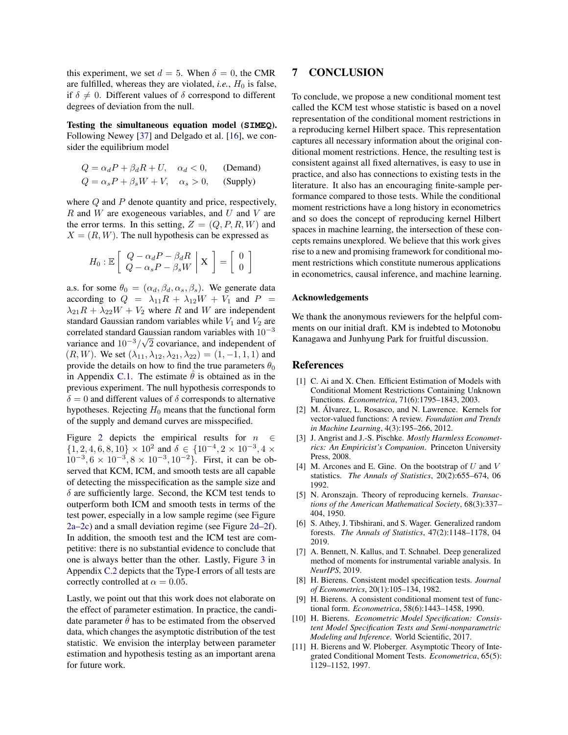this experiment, we set  $d = 5$ . When  $\delta = 0$ , the CMR are fulfilled, whereas they are violated, *i.e.*,  $H_0$  is false, if  $\delta \neq 0$ . Different values of  $\delta$  correspond to different degrees of deviation from the null.

Testing the simultaneous equation model (**SIMEQ**). Following Newey [\[37\]](#page-9-41) and Delgado et al. [\[16\]](#page-9-19), we consider the equilibrium model

$$
Q = \alpha_d P + \beta_d R + U, \quad \alpha_d < 0,
$$
 (Demand)  
\n
$$
Q = \alpha_s P + \beta_s W + V, \quad \alpha_s > 0,
$$
 (Supply)

where Q and P denote quantity and price, respectively,  $R$  and  $W$  are exogeneous variables, and  $U$  and  $V$  are the error terms. In this setting,  $Z = (Q, P, R, W)$  and  $X = (R, W)$ . The null hypothesis can be expressed as

$$
H_0: \mathbb{E}\left[\begin{array}{c} Q - \alpha_d P - \beta_d R \\ Q - \alpha_s P - \beta_s W \end{array}\bigg|\begin{array}{c} \mathbf{X} \end{array}\right] = \left[\begin{array}{c} 0 \\ 0 \end{array}\right]
$$

a.s. for some  $\theta_0 = (\alpha_d, \beta_d, \alpha_s, \beta_s)$ . We generate data according to  $Q = \lambda_{11}R + \lambda_{12}W + V_1$  and  $P =$  $\lambda_{21}R + \lambda_{22}W + V_2$  where R and W are independent standard Gaussian random variables while  $V_1$  and  $V_2$  are correlated standard Gaussian random variables with  $10^{-3}$ variance and  $10^{-3}/\sqrt{2}$  covariance, and independent of  $(R, W)$ . We set  $(\lambda_{11}, \lambda_{12}, \lambda_{21}, \lambda_{22}) = (1, -1, 1, 1)$  and provide the details on how to find the true parameters  $\theta_0$ in Appendix [C.1.](#page-12-0) The estimate  $\theta$  is obtained as in the previous experiment. The null hypothesis corresponds to  $\delta = 0$  and different values of  $\delta$  corresponds to alternative hypotheses. Rejecting  $H_0$  means that the functional form of the supply and demand curves are misspecified.

Figure [2](#page-7-1) depicts the empirical results for  $n \in \mathbb{R}$  $\{1, 2, 4, 6, 8, 10\} \times 10^2$  and  $\delta \in \{10^{-4}, 2 \times 10^{-3}, 4 \times$  $10^{-3}$ ,  $6 \times 10^{-3}$ ,  $8 \times 10^{-3}$ ,  $10^{-2}$ }. First, it can be observed that KCM, ICM, and smooth tests are all capable of detecting the misspecification as the sample size and  $\delta$  are sufficiently large. Second, the KCM test tends to outperform both ICM and smooth tests in terms of the test power, especially in a low sample regime (see Figure [2a–2c\)](#page-7-1) and a small deviation regime (see Figure [2d–2f\)](#page-7-1). In addition, the smooth test and the ICM test are competitive: there is no substantial evidence to conclude that one is always better than the other. Lastly, Figure [3](#page-13-1) in Appendix [C.2](#page-13-2) depicts that the Type-I errors of all tests are correctly controlled at  $\alpha = 0.05$ .

Lastly, we point out that this work does not elaborate on the effect of parameter estimation. In practice, the candidate parameter  $\hat{\theta}$  has to be estimated from the observed data, which changes the asymptotic distribution of the test statistic. We envision the interplay between parameter estimation and hypothesis testing as an important arena for future work.

# 7 CONCLUSION

To conclude, we propose a new conditional moment test called the KCM test whose statistic is based on a novel representation of the conditional moment restrictions in a reproducing kernel Hilbert space. This representation captures all necessary information about the original conditional moment restrictions. Hence, the resulting test is consistent against all fixed alternatives, is easy to use in practice, and also has connections to existing tests in the literature. It also has an encouraging finite-sample performance compared to those tests. While the conditional moment restrictions have a long history in econometrics and so does the concept of reproducing kernel Hilbert spaces in machine learning, the intersection of these concepts remains unexplored. We believe that this work gives rise to a new and promising framework for conditional moment restrictions which constitute numerous applications in econometrics, causal inference, and machine learning.

#### Acknowledgements

We thank the anonymous reviewers for the helpful comments on our initial draft. KM is indebted to Motonobu Kanagawa and Junhyung Park for fruitful discussion.

### References

- <span id="page-8-0"></span>[1] C. Ai and X. Chen. Efficient Estimation of Models with Conditional Moment Restrictions Containing Unknown Functions. *Econometrica*, 71(6):1795–1843, 2003.
- <span id="page-8-7"></span>[2] M. Álvarez, L. Rosasco, and N. Lawrence. Kernels for vector-valued functions: A review. *Foundation and Trends in Machine Learning*, 4(3):195–266, 2012.
- <span id="page-8-10"></span>[3] J. Angrist and J.-S. Pischke. *Mostly Harmless Econometrics: An Empiricist's Companion*. Princeton University Press, 2008.
- <span id="page-8-8"></span>[4] M. Arcones and E. Gine. On the bootstrap of  $U$  and  $V$ statistics. *The Annals of Statistics*, 20(2):655–674, 06 1992.
- <span id="page-8-6"></span>[5] N. Aronszajn. Theory of reproducing kernels. *Transactions of the American Mathematical Society*, 68(3):337– 404, 1950.
- <span id="page-8-1"></span>[6] S. Athey, J. Tibshirani, and S. Wager. Generalized random forests. *The Annals of Statistics*, 47(2):1148–1178, 04 2019.
- <span id="page-8-2"></span>[7] A. Bennett, N. Kallus, and T. Schnabel. Deep generalized method of moments for instrumental variable analysis. In *NeurIPS*, 2019.
- <span id="page-8-4"></span>[8] H. Bierens. Consistent model specification tests. *Journal of Econometrics*, 20(1):105–134, 1982.
- <span id="page-8-9"></span>[9] H. Bierens. A consistent conditional moment test of functional form. *Econometrica*, 58(6):1443–1458, 1990.
- <span id="page-8-3"></span>[10] H. Bierens. *Econometric Model Specification: Consistent Model Specification Tests and Semi-nonparametric Modeling and Inference*. World Scientific, 2017.
- <span id="page-8-5"></span>[11] H. Bierens and W. Ploberger. Asymptotic Theory of Integrated Conditional Moment Tests. *Econometrica*, 65(5): 1129–1152, 1997.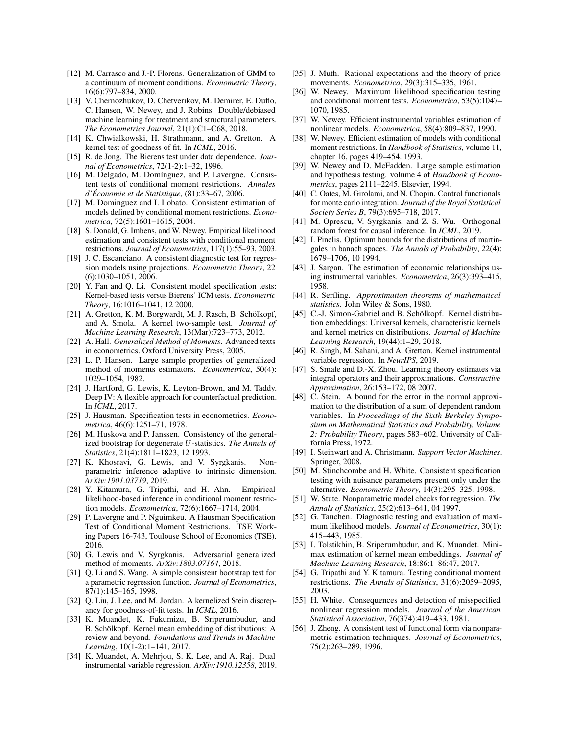- <span id="page-9-24"></span>[12] M. Carrasco and J.-P. Florens. Generalization of GMM to a continuum of moment conditions. *Econometric Theory*, 16(6):797–834, 2000.
- <span id="page-9-3"></span>[13] V. Chernozhukov, D. Chetverikov, M. Demirer, E. Duflo, C. Hansen, W. Newey, and J. Robins. Double/debiased machine learning for treatment and structural parameters. *The Econometrics Journal*, 21(1):C1–C68, 2018.
- <span id="page-9-21"></span>[14] K. Chwialkowski, H. Strathmann, and A. Gretton. A kernel test of goodness of fit. In *ICML*, 2016.
- <span id="page-9-15"></span>[15] R. de Jong. The Bierens test under data dependence. *Journal of Econometrics*, 72(1-2):1–32, 1996.
- <span id="page-9-19"></span>[16] M. Delgado, M. Domínguez, and P. Lavergne. Consistent tests of conditional moment restrictions. *Annales d'Economie et de Statistique ´* , (81):33–67, 2006.
- <span id="page-9-35"></span>[17] M. Dominguez and I. Lobato. Consistent estimation of models defined by conditional moment restrictions. *Econometrica*, 72(5):1601–1615, 2004.
- <span id="page-9-16"></span>[18] S. Donald, G. Imbens, and W. Newey. Empirical likelihood estimation and consistent tests with conditional moment restrictions. *Journal of Econometrics*, 117(1):55–93, 2003.
- <span id="page-9-34"></span>[19] J. C. Escanciano. A consistent diagnostic test for regression models using projections. *Econometric Theory*, 22 (6):1030–1051, 2006.
- <span id="page-9-32"></span>[20] Y. Fan and Q. Li. Consistent model specification tests: Kernel-based tests versus Bierens' ICM tests. *Econometric Theory*, 16:1016–1041, 12 2000.
- <span id="page-9-22"></span>[21] A. Gretton, K. M. Borgwardt, M. J. Rasch, B. Schölkopf, and A. Smola. A kernel two-sample test. *Journal of Machine Learning Research*, 13(Mar):723–773, 2012.
- <span id="page-9-8"></span>[22] A. Hall. *Generalized Method of Moments*. Advanced texts in econometrics. Oxford University Press, 2005.
- <span id="page-9-9"></span>[23] L. P. Hansen. Large sample properties of generalized method of moments estimators. *Econometrica*, 50(4): 1029–1054, 1982.
- <span id="page-9-5"></span>[24] J. Hartford, G. Lewis, K. Leyton-Brown, and M. Taddy. Deep IV: A flexible approach for counterfactual prediction. In *ICML*, 2017.
- <span id="page-9-13"></span>[25] J. Hausman. Specification tests in econometrics. *Econometrica*, 46(6):1251–71, 1978.
- <span id="page-9-31"></span>[26] M. Huskova and P. Janssen. Consistency of the generalized bootstrap for degenerate U-statistics. *The Annals of Statistics*, 21(4):1811–1823, 12 1993.
- <span id="page-9-28"></span>[27] K. Khosravi, G. Lewis, and V. Syrgkanis. Nonparametric inference adaptive to intrinsic dimension. *ArXiv:1901.03719*, 2019.
- <span id="page-9-36"></span>[28] Y. Kitamura, G. Tripathi, and H. Ahn. Empirical likelihood-based inference in conditional moment restriction models. *Econometrica*, 72(6):1667–1714, 2004.
- <span id="page-9-40"></span>[29] P. Lavergne and P. Nguimkeu. A Hausman Specification Test of Conditional Moment Restrictions. TSE Working Papers 16-743, Toulouse School of Economics (TSE), 2016.
- <span id="page-9-4"></span>[30] G. Lewis and V. Syrgkanis. Adversarial generalized method of moments. *ArXiv:1803.07164*, 2018.
- <span id="page-9-17"></span>[31] Q. Li and S. Wang. A simple consistent bootstrap test for a parametric regression function. *Journal of Econometrics*, 87(1):145–165, 1998.
- <span id="page-9-23"></span>[32] Q. Liu, J. Lee, and M. Jordan. A kernelized Stein discrepancy for goodness-of-fit tests. In *ICML*, 2016.
- <span id="page-9-27"></span>[33] K. Muandet, K. Fukumizu, B. Sriperumbudur, and B. Schölkopf. Kernel mean embedding of distributions: A review and beyond. *Foundations and Trends in Machine Learning*, 10(1-2):1–141, 2017.
- <span id="page-9-6"></span>[34] K. Muandet, A. Mehrjou, S. K. Lee, and A. Raj. Dual instrumental variable regression. *ArXiv:1910.12358*, 2019.
- <span id="page-9-1"></span>[35] J. Muth. Rational expectations and the theory of price movements. *Econometrica*, 29(3):315–335, 1961.
- <span id="page-9-11"></span>[36] W. Newey. Maximum likelihood specification testing and conditional moment tests. *Econometrica*, 53(5):1047– 1070, 1985.
- <span id="page-9-41"></span>[37] W. Newey. Efficient instrumental variables estimation of nonlinear models. *Econometrica*, 58(4):809–837, 1990.
- <span id="page-9-0"></span>[38] W. Newey. Efficient estimation of models with conditional moment restrictions. In *Handbook of Statistics*, volume 11, chapter 16, pages 419–454. 1993.
- <span id="page-9-44"></span>[39] W. Newey and D. McFadden. Large sample estimation and hypothesis testing. volume 4 of *Handbook of Econometrics*, pages 2111–2245. Elsevier, 1994.
- <span id="page-9-38"></span>[40] C. Oates, M. Girolami, and N. Chopin. Control functionals for monte carlo integration. *Journal of the Royal Statistical Society Series B*, 79(3):695–718, 2017.
- <span id="page-9-2"></span>[41] M. Oprescu, V. Syrgkanis, and Z. S. Wu. Orthogonal random forest for causal inference. In *ICML*, 2019.
- <span id="page-9-43"></span>[42] I. Pinelis. Optimum bounds for the distributions of martingales in banach spaces. *The Annals of Probability*, 22(4): 1679–1706, 10 1994.
- <span id="page-9-10"></span>[43] J. Sargan. The estimation of economic relationships using instrumental variables. *Econometrica*, 26(3):393–415, 1958.
- <span id="page-9-30"></span>[44] R. Serfling. *Approximation theorems of mathematical statistics*. John Wiley & Sons, 1980.
- <span id="page-9-26"></span>[45] C.-J. Simon-Gabriel and B. Schölkopf. Kernel distribution embeddings: Universal kernels, characteristic kernels and kernel metrics on distributions. *Journal of Machine Learning Research*, 19(44):1–29, 2018.
- <span id="page-9-7"></span>[46] R. Singh, M. Sahani, and A. Gretton. Kernel instrumental variable regression. In *NeurIPS*, 2019.
- <span id="page-9-42"></span>[47] S. Smale and D.-X. Zhou. Learning theory estimates via integral operators and their approximations. *Constructive Approximation*, 26:153–172, 08 2007.
- <span id="page-9-37"></span>[48] C. Stein. A bound for the error in the normal approximation to the distribution of a sum of dependent random variables. In *Proceedings of the Sixth Berkeley Symposium on Mathematical Statistics and Probability, Volume 2: Probability Theory*, pages 583–602. University of California Press, 1972.
- <span id="page-9-25"></span>[49] I. Steinwart and A. Christmann. *Support Vector Machines*. Springer, 2008.
- <span id="page-9-33"></span>[50] M. Stinchcombe and H. White. Consistent specification testing with nuisance parameters present only under the alternative. *Econometric Theory*, 14(3):295–325, 1998.
- <span id="page-9-39"></span>[51] W. Stute. Nonparametric model checks for regression. *The Annals of Statistics*, 25(2):613–641, 04 1997.
- <span id="page-9-12"></span>[52] G. Tauchen. Diagnostic testing and evaluation of maximum likelihood models. *Journal of Econometrics*, 30(1): 415–443, 1985.
- <span id="page-9-29"></span>[53] I. Tolstikhin, B. Sriperumbudur, and K. Muandet. Minimax estimation of kernel mean embeddings. *Journal of Machine Learning Research*, 18:86:1–86:47, 2017.
- <span id="page-9-20"></span>[54] G. Tripathi and Y. Kitamura. Testing conditional moment restrictions. *The Annals of Statistics*, 31(6):2059–2095, 2003.
- <span id="page-9-14"></span>[55] H. White. Consequences and detection of misspecified nonlinear regression models. *Journal of the American Statistical Association*, 76(374):419–433, 1981.
- <span id="page-9-18"></span>[56] J. Zheng. A consistent test of functional form via nonparametric estimation techniques. *Journal of Econometrics*, 75(2):263–289, 1996.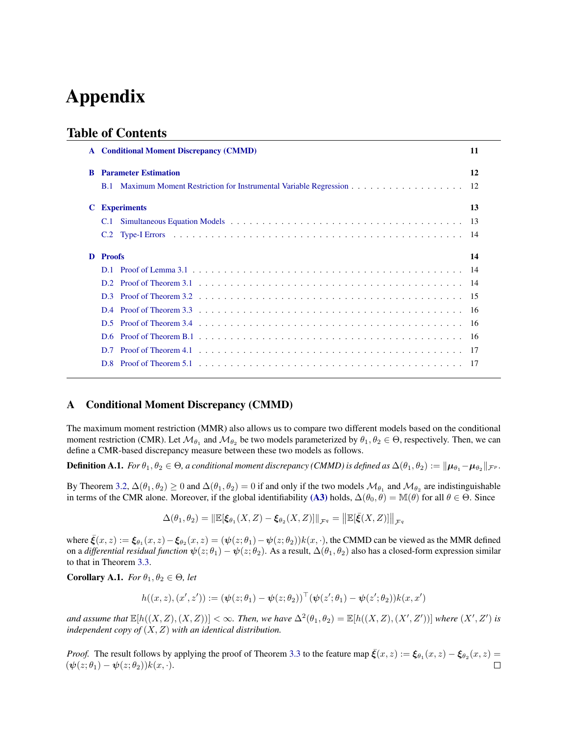# Appendix

# Table of Contents

|    | <b>Conditional Moment Discrepancy (CMMD)</b>                                                                                                                                                                                   | 11 |  |
|----|--------------------------------------------------------------------------------------------------------------------------------------------------------------------------------------------------------------------------------|----|--|
| -R | <b>Parameter Estimation</b>                                                                                                                                                                                                    | 12 |  |
|    | <b>B</b> .1                                                                                                                                                                                                                    |    |  |
| C  | <b>Experiments</b>                                                                                                                                                                                                             | 13 |  |
|    | Simultaneous Equation Models (a) and a series of the contract of the series of the series of the series of the series of the series of the series of the series of the series of the series of the series of the series of the |    |  |
|    | C.2                                                                                                                                                                                                                            |    |  |
| D  | <b>Proofs</b><br>14                                                                                                                                                                                                            |    |  |
|    |                                                                                                                                                                                                                                |    |  |
|    |                                                                                                                                                                                                                                |    |  |
|    | D <sub>3</sub>                                                                                                                                                                                                                 |    |  |
|    |                                                                                                                                                                                                                                |    |  |
|    | D <sub>5</sub>                                                                                                                                                                                                                 |    |  |
|    | D6.                                                                                                                                                                                                                            |    |  |
|    | D <sub>7</sub>                                                                                                                                                                                                                 |    |  |
|    |                                                                                                                                                                                                                                |    |  |

## <span id="page-10-0"></span>A Conditional Moment Discrepancy (CMMD)

The maximum moment restriction (MMR) also allows us to compare two different models based on the conditional moment restriction (CMR). Let  $\mathcal{M}_{\theta_1}$  and  $\mathcal{M}_{\theta_2}$  be two models parameterized by  $\theta_1, \theta_2 \in \Theta$ , respectively. Then, we can define a CMR-based discrepancy measure between these two models as follows.

Definition A.1. *For*  $\theta_1, \theta_2 \in \Theta$ , a conditional moment discrepancy (CMMD) is defined as  $\Delta(\theta_1,\theta_2):=\|\boldsymbol\mu_{\theta_1}-\boldsymbol\mu_{\theta_2}\|_{\mathcal{F}^p}$ .

By Theorem [3.2,](#page-3-0)  $\Delta(\theta_1,\theta_2)\geq 0$  and  $\Delta(\theta_1,\theta_2)=0$  if and only if the two models  $\mathcal{M}_{\theta_1}$  and  $\mathcal{M}_{\theta_2}$  are indistinguishable in terms of the CMR alone. Moreover, if the global identifiability [\(A3\)](#page-2-5) holds,  $\Delta(\theta_0, \theta) = \mathbb{M}(\theta)$  for all  $\theta \in \Theta$ . Since

$$
\Delta(\theta_1, \theta_2) = \|\mathbb{E}[\xi_{\theta_1}(X, Z) - \xi_{\theta_2}(X, Z)]\|_{\mathcal{F}^q} = \big\|\mathbb{E}[\bar{\xi}(X, Z)]\big\|_{\mathcal{F}^q}
$$

where  $\bar{\xi}(x, z) := \xi_{\theta_1}(x, z) - \xi_{\theta_2}(x, z) = (\psi(z; \theta_1) - \psi(z; \theta_2))k(x, \cdot)$ , the CMMD can be viewed as the MMR defined on a *differential residual function*  $\psi(z;\theta_1) - \psi(z;\theta_2)$ . As a result,  $\Delta(\theta_1,\theta_2)$  also has a closed-form expression similar to that in Theorem [3.3.](#page-4-0)

**Corollary A.1.** *For*  $\theta_1, \theta_2 \in \Theta$ *, let* 

$$
h((x, z), (x', z')) := (\psi(z; \theta_1) - \psi(z; \theta_2))^\top (\psi(z'; \theta_1) - \psi(z'; \theta_2)) k(x, x')
$$

and assume that  $\mathbb{E}[h((X, Z), (X, Z))] < \infty$ . Then, we have  $\Delta^2(\theta_1, \theta_2) = \mathbb{E}[h((X, Z), (X', Z'))]$  where  $(X', Z')$  is *independent copy of* (X, Z) *with an identical distribution.*

*Proof.* The result follows by applying the proof of Theorem [3.3](#page-4-0) to the feature map  $\bar{\xi}(x, z) := \xi_{\theta_1}(x, z) - \xi_{\theta_2}(x, z) =$  $(\boldsymbol{\psi}(z;\theta_1) - \boldsymbol{\psi}(z;\theta_2))k(x,\cdot).$  $\Box$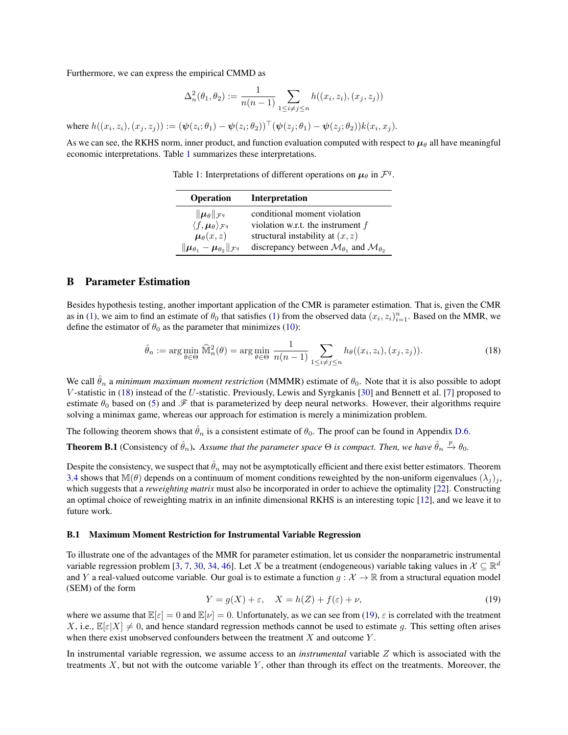Furthermore, we can express the empirical CMMD as

$$
\Delta_n^2(\theta_1, \theta_2) := \frac{1}{n(n-1)} \sum_{1 \le i \ne j \le n} h((x_i, z_i), (x_j, z_j))
$$

where  $h((x_i, z_i), (x_j, z_j)) := (\psi(z_i; \theta_1) - \psi(z_i; \theta_2))^{\top} (\psi(z_j; \theta_1) - \psi(z_j; \theta_2)) k(x_i, x_j)$ .

<span id="page-11-3"></span>As we can see, the RKHS norm, inner product, and function evaluation computed with respect to  $\mu_\theta$  all have meaningful economic interpretations. Table [1](#page-11-3) summarizes these interpretations.

Table 1: Interpretations of different operations on  $\mu_{\theta}$  in  $\mathcal{F}^q$ .

| <b>Operation</b>                                                              | <b>Interpretation</b>                                                     |
|-------------------------------------------------------------------------------|---------------------------------------------------------------------------|
| $\ \boldsymbol{\mu}_{\theta}\ _{\mathcal{F}^q}$                               | conditional moment violation                                              |
| $\langle f, \mu_\theta \rangle_{\mathcal{F}^q}$                               | violation w.r.t. the instrument $f$                                       |
| $\mu_{\theta}(x,z)$                                                           | structural instability at $(x, z)$                                        |
| $\ \boldsymbol{\mu}_{\theta_1}-\boldsymbol{\mu}_{\theta_2}\ _{\mathcal{F}^q}$ | discrepancy between $\mathcal{M}_{\theta_1}$ and $\mathcal{M}_{\theta_2}$ |

### <span id="page-11-0"></span>B Parameter Estimation

Besides hypothesis testing, another important application of the CMR is parameter estimation. That is, given the CMR as in [\(1\)](#page-1-2), we aim to find an estimate of  $\theta_0$  that satisfies (1) from the observed data  $(x_i, z_i)_{i=1}^n$ . Based on the MMR, we define the estimator of  $\theta_0$  as the parameter that minimizes [\(10\)](#page-4-3):

<span id="page-11-4"></span>
$$
\hat{\theta}_n := \arg\min_{\theta \in \Theta} \widehat{\mathbb{M}}_n^2(\theta) = \arg\min_{\theta \in \Theta} \frac{1}{n(n-1)} \sum_{1 \le i \ne j \le n} h_\theta((x_i, z_i), (x_j, z_j)). \tag{18}
$$

We call  $\hat{\theta}_n$  a *minimum maximum moment restriction* (MMMR) estimate of  $\theta_0$ . Note that it is also possible to adopt V -statistic in [\(18\)](#page-11-4) instead of the U-statistic. Previously, Lewis and Syrgkanis [\[30\]](#page-9-4) and Bennett et al. [\[7\]](#page-8-2) proposed to estimate  $\theta_0$  based on [\(5\)](#page-2-8) and  $\mathscr F$  that is parameterized by deep neural networks. However, their algorithms require solving a minimax game, whereas our approach for estimation is merely a minimization problem.

The following theorem shows that  $\hat{\theta}_n$  is a consistent estimate of  $\theta_0$ . The proof can be found in Appendix [D.6.](#page-15-2)

<span id="page-11-2"></span>**Theorem B.1** (Consistency of  $\hat{\theta}_n$ ). Assume that the parameter space  $\Theta$  is compact. Then, we have  $\hat{\theta}_n \stackrel{p}{\to} \theta_0$ .

Despite the consistency, we suspect that  $\hat{\theta}_n$  may not be asymptotically efficient and there exist better estimators. Theorem [3.4](#page-4-6) shows that M( $\theta$ ) depends on a continuum of moment conditions reweighted by the non-uniform eigenvalues  $(\lambda_i)_j$ , which suggests that a *reweighting matrix* must also be incorporated in order to achieve the optimality [\[22\]](#page-9-8). Constructing an optimal choice of reweighting matrix in an infinite dimensional RKHS is an interesting topic [\[12\]](#page-9-24), and we leave it to future work.

### <span id="page-11-1"></span>B.1 Maximum Moment Restriction for Instrumental Variable Regression

To illustrate one of the advantages of the MMR for parameter estimation, let us consider the nonparametric instrumental variable regression problem [\[3,](#page-8-10) [7,](#page-8-2) [30,](#page-9-4) [34,](#page-9-6) [46\]](#page-9-7). Let X be a treatment (endogeneous) variable taking values in  $\mathcal{X} \subseteq \mathbb{R}^d$ and Y a real-valued outcome variable. Our goal is to estimate a function  $g : \mathcal{X} \to \mathbb{R}$  from a structural equation model (SEM) of the form

<span id="page-11-5"></span>
$$
Y = g(X) + \varepsilon, \quad X = h(Z) + f(\varepsilon) + \nu,
$$
\n(19)

where we assume that  $\mathbb{E}[\varepsilon] = 0$  and  $\mathbb{E}[\nu] = 0$ . Unfortunately, as we can see from [\(19\)](#page-11-5),  $\varepsilon$  is correlated with the treatment X, i.e.,  $\mathbb{E}[\varepsilon|X] \neq 0$ , and hence standard regression methods cannot be used to estimate g. This setting often arises when there exist unobserved confounders between the treatment  $X$  and outcome  $Y$ .

In instrumental variable regression, we assume access to an *instrumental* variable Z which is associated with the treatments  $X$ , but not with the outcome variable  $Y$ , other than through its effect on the treatments. Moreover, the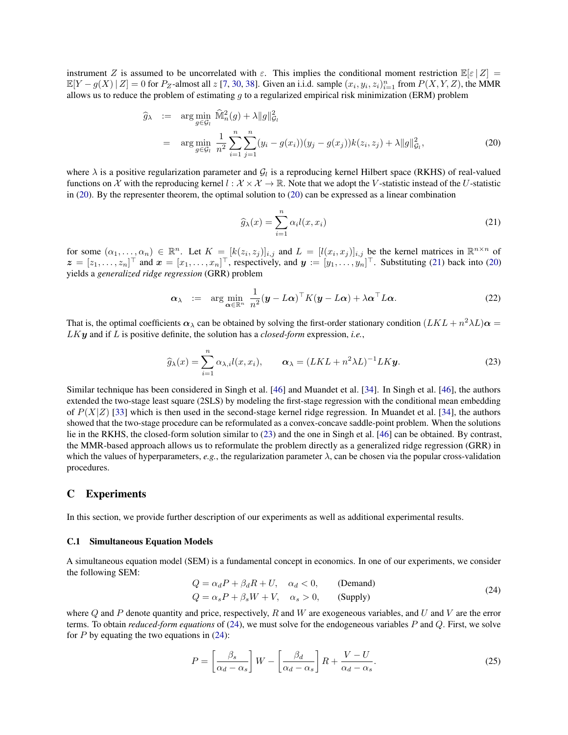instrument Z is assumed to be uncorrelated with  $\varepsilon$ . This implies the conditional moment restriction  $\mathbb{E}[\varepsilon | Z] =$  $\mathbb{E}[Y - g(X) | Z] = 0$  for  $P_Z$ -almost all  $z$  [\[7,](#page-8-2) [30,](#page-9-4) [38\]](#page-9-0). Given an i.i.d. sample  $(x_i, y_i, z_i)_{i=1}^n$  from  $P(X, Y, Z)$ , the MMR allows us to reduce the problem of estimating  $g$  to a regularized empirical risk minimization (ERM) problem

<span id="page-12-2"></span>
$$
\widehat{g}_{\lambda} := \arg \min_{g \in \mathcal{G}_l} \widehat{\mathbb{M}}_n^2(g) + \lambda \|g\|_{\mathcal{G}_l}^2
$$
\n
$$
= \arg \min_{g \in \mathcal{G}_l} \frac{1}{n^2} \sum_{i=1}^n \sum_{j=1}^n (y_i - g(x_i))(y_j - g(x_j))k(z_i, z_j) + \lambda \|g\|_{\mathcal{G}_l}^2,
$$
\n(20)

where  $\lambda$  is a positive regularization parameter and  $G_l$  is a reproducing kernel Hilbert space (RKHS) of real-valued functions on X with the reproducing kernel  $l : \mathcal{X} \times \mathcal{X} \to \mathbb{R}$ . Note that we adopt the V-statistic instead of the U-statistic in [\(20\)](#page-12-2). By the representer theorem, the optimal solution to [\(20\)](#page-12-2) can be expressed as a linear combination

<span id="page-12-3"></span>
$$
\widehat{g}_{\lambda}(x) = \sum_{i=1}^{n} \alpha_i l(x, x_i)
$$
\n(21)

for some  $(\alpha_1,\ldots,\alpha_n) \in \mathbb{R}^n$ . Let  $K = [k(z_i,z_j)]_{i,j}$  and  $L = [l(x_i,x_j)]_{i,j}$  be the kernel matrices in  $\mathbb{R}^{n \times n}$  of  $\boldsymbol{z} = [z_1, \dots, z_n]^\top$  and  $\boldsymbol{x} = [x_1, \dots, x_n]^\top$ , respectively, and  $\boldsymbol{y} := [y_1, \dots, y_n]^\top$ . Substituting [\(21\)](#page-12-3) back into [\(20\)](#page-12-2) yields a *generalized ridge regression* (GRR) problem

$$
\boldsymbol{\alpha}_{\lambda} \ := \ \arg\min_{\boldsymbol{\alpha} \in \mathbb{R}^n} \ \frac{1}{n^2} (\boldsymbol{y} - L\boldsymbol{\alpha})^\top K (\boldsymbol{y} - L\boldsymbol{\alpha}) + \lambda \boldsymbol{\alpha}^\top L\boldsymbol{\alpha}.
$$

That is, the optimal coefficients  $\alpha_\lambda$  can be obtained by solving the first-order stationary condition  $(LKL + n^2\lambda L)\alpha =$ LKy and if L is positive definite, the solution has a *closed-form* expression, *i.e.*,

<span id="page-12-4"></span>
$$
\widehat{g}_{\lambda}(x) = \sum_{i=1}^{n} \alpha_{\lambda,i} l(x, x_i), \qquad \alpha_{\lambda} = (LKL + n^2 \lambda L)^{-1} LK\mathbf{y}.
$$
 (23)

Similar technique has been considered in Singh et al. [\[46\]](#page-9-7) and Muandet et al. [\[34\]](#page-9-6). In Singh et al. [\[46\]](#page-9-7), the authors extended the two-stage least square (2SLS) by modeling the first-stage regression with the conditional mean embedding of  $P(X|Z)$  [\[33\]](#page-9-27) which is then used in the second-stage kernel ridge regression. In Muandet et al. [\[34\]](#page-9-6), the authors showed that the two-stage procedure can be reformulated as a convex-concave saddle-point problem. When the solutions lie in the RKHS, the closed-form solution similar to [\(23\)](#page-12-4) and the one in Singh et al. [\[46\]](#page-9-7) can be obtained. By contrast, the MMR-based approach allows us to reformulate the problem directly as a generalized ridge regression (GRR) in which the values of hyperparameters,  $e.g.,$  the regularization parameter  $\lambda$ , can be chosen via the popular cross-validation procedures.

### <span id="page-12-1"></span>C Experiments

In this section, we provide further description of our experiments as well as additional experimental results.

### <span id="page-12-0"></span>C.1 Simultaneous Equation Models

A simultaneous equation model (SEM) is a fundamental concept in economics. In one of our experiments, we consider the following SEM:

<span id="page-12-5"></span>
$$
Q = \alpha_d P + \beta_d R + U, \quad \alpha_d < 0,
$$
 (Demand)  
\n
$$
Q = \alpha_s P + \beta_s W + V, \quad \alpha_s > 0,
$$
 (Supply) (24)

where Q and P denote quantity and price, respectively, R and W are exogeneous variables, and U and V are the error terms. To obtain *reduced-form equations* of [\(24\)](#page-12-5), we must solve for the endogeneous variables P and Q. First, we solve for  $P$  by equating the two equations in [\(24\)](#page-12-5):

<span id="page-12-6"></span>
$$
P = \left[\frac{\beta_s}{\alpha_d - \alpha_s}\right]W - \left[\frac{\beta_d}{\alpha_d - \alpha_s}\right]R + \frac{V - U}{\alpha_d - \alpha_s}.\tag{25}
$$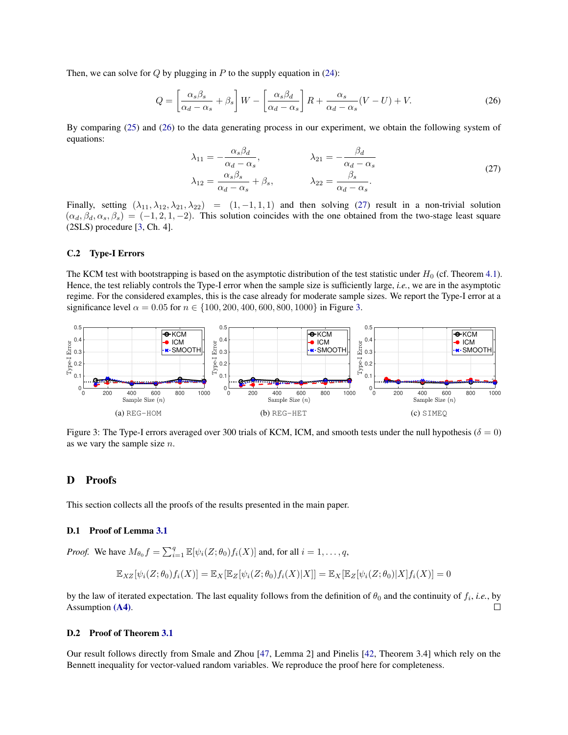Then, we can solve for Q by plugging in P to the supply equation in  $(24)$ :

<span id="page-13-5"></span>
$$
Q = \left[\frac{\alpha_s \beta_s}{\alpha_d - \alpha_s} + \beta_s\right]W - \left[\frac{\alpha_s \beta_d}{\alpha_d - \alpha_s}\right]R + \frac{\alpha_s}{\alpha_d - \alpha_s}(V - U) + V.
$$
 (26)

By comparing [\(25\)](#page-12-6) and [\(26\)](#page-13-5) to the data generating process in our experiment, we obtain the following system of equations:

<span id="page-13-6"></span>
$$
\lambda_{11} = -\frac{\alpha_s \beta_d}{\alpha_d - \alpha_s}, \qquad \lambda_{21} = -\frac{\beta_d}{\alpha_d - \alpha_s}
$$
\n
$$
\lambda_{12} = \frac{\alpha_s \beta_s}{\alpha_d - \alpha_s} + \beta_s, \qquad \lambda_{22} = \frac{\beta_s}{\alpha_d - \alpha_s}.
$$
\n(27)

Finally, setting  $(\lambda_{11}, \lambda_{12}, \lambda_{21}, \lambda_{22}) = (1, -1, 1, 1)$  and then solving [\(27\)](#page-13-6) result in a non-trivial solution  $(\alpha_d, \beta_d, \alpha_s, \beta_s) = (-1, 2, 1, -2)$ . This solution coincides with the one obtained from the two-stage least square (2SLS) procedure [\[3,](#page-8-10) Ch. 4].

### <span id="page-13-2"></span>C.2 Type-I Errors

The KCM test with bootstrapping is based on the asymptotic distribution of the test statistic under  $H_0$  (cf. Theorem [4.1\)](#page-4-4). Hence, the test reliably controls the Type-I error when the sample size is sufficiently large, *i.e.*, we are in the asymptotic regime. For the considered examples, this is the case already for moderate sample sizes. We report the Type-I error at a significance level  $\alpha = 0.05$  for  $n \in \{100, 200, 400, 600, 800, 1000\}$  in Figure [3.](#page-13-1)

<span id="page-13-1"></span>

Figure 3: The Type-I errors averaged over 300 trials of KCM, ICM, and smooth tests under the null hypothesis ( $\delta = 0$ ) as we vary the sample size  $n$ .

### <span id="page-13-0"></span>D Proofs

This section collects all the proofs of the results presented in the main paper.

### <span id="page-13-3"></span>D.1 Proof of Lemma [3.1](#page-3-1)

*Proof.* We have  $M_{\theta_0} f = \sum_{i=1}^q \mathbb{E}[\psi_i(Z; \theta_0) f_i(X)]$  and, for all  $i = 1, \dots, q$ ,

$$
\mathbb{E}_{XZ}[\psi_i(Z;\theta_0)f_i(X)] = \mathbb{E}_X[\mathbb{E}_Z[\psi_i(Z;\theta_0)f_i(X)|X]] = \mathbb{E}_X[\mathbb{E}_Z[\psi_i(Z;\theta_0)|X]f_i(X)] = 0
$$

by the law of iterated expectation. The last equality follows from the definition of  $\theta_0$  and the continuity of  $f_i$ , *i.e.*, by Assumption [\(A4\)](#page-2-6).  $\Box$ 

### <span id="page-13-4"></span>D.2 Proof of Theorem [3.1](#page-3-2)

Our result follows directly from Smale and Zhou [\[47,](#page-9-42) Lemma 2] and Pinelis [\[42,](#page-9-43) Theorem 3.4] which rely on the Bennett inequality for vector-valued random variables. We reproduce the proof here for completeness.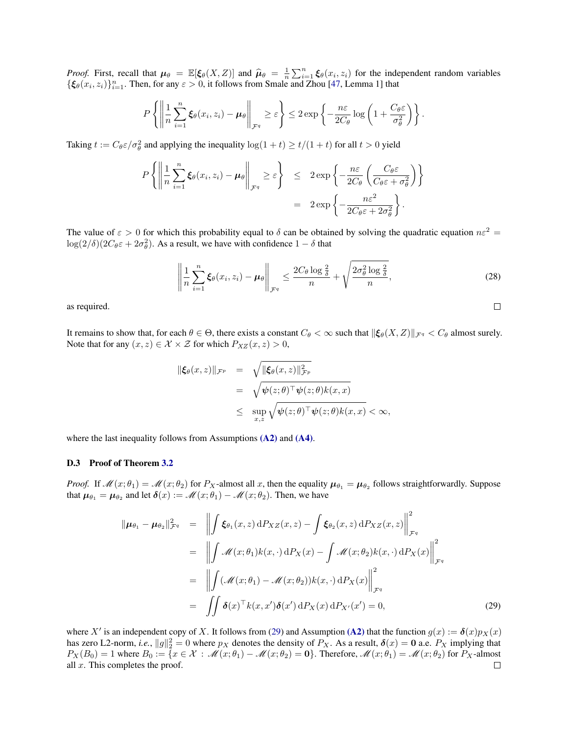*Proof.* First, recall that  $\mu_{\theta} = \mathbb{E}[\xi_{\theta}(X, Z)]$  and  $\widehat{\mu}_{\theta} = \frac{1}{n} \sum_{i=1}^{n} \xi_{\theta}(x_i, z_i)$  for the independent random variables  $\{\xi_\theta(x_i, z_i)\}_{i=1}^n$ . Then, for any  $\varepsilon > 0$ , it follows from Smale and Zhou [\[47,](#page-9-42) Lemma 1] that

$$
P\left\{\left\|\frac{1}{n}\sum_{i=1}^n \xi_\theta(x_i,z_i) - \mu_\theta\right\|_{\mathcal{F}^q} \geq \varepsilon\right\} \leq 2\exp\left\{-\frac{n\varepsilon}{2C_\theta}\log\left(1+\frac{C_\theta\varepsilon}{\sigma_\theta^2}\right)\right\}.
$$

Taking  $t := C_{\theta} \varepsilon / \sigma_{\theta}^2$  and applying the inequality  $\log(1 + t) \ge t/(1 + t)$  for all  $t > 0$  yield

$$
P\left\{ \left\| \frac{1}{n} \sum_{i=1}^{n} \xi_{\theta}(x_i, z_i) - \mu_{\theta} \right\|_{\mathcal{F}^q} \geq \varepsilon \right\} \leq 2 \exp\left\{ -\frac{n\varepsilon}{2C_{\theta}} \left( \frac{C_{\theta}\varepsilon}{C_{\theta}\varepsilon + \sigma_{\theta}^2} \right) \right\}
$$
  
=  $2 \exp\left\{ -\frac{n\varepsilon^2}{2C_{\theta}\varepsilon + 2\sigma_{\theta}^2} \right\}.$ 

The value of  $\varepsilon > 0$  for which this probability equal to  $\delta$  can be obtained by solving the quadratic equation  $n\varepsilon^2 =$  $\log(2/\delta)(2C_{\theta}\varepsilon + 2\sigma_{\theta}^2)$ . As a result, we have with confidence  $1 - \delta$  that

$$
\left\| \frac{1}{n} \sum_{i=1}^{n} \xi_{\theta}(x_i, z_i) - \mu_{\theta} \right\|_{\mathcal{F}^q} \le \frac{2C_{\theta} \log \frac{2}{\delta}}{n} + \sqrt{\frac{2\sigma_{\theta}^2 \log \frac{2}{\delta}}{n}},\tag{28}
$$

 $\Box$ 

as required.

It remains to show that, for each  $\theta \in \Theta$ , there exists a constant  $C_{\theta} < \infty$  such that  $\|\xi_{\theta}(X, Z)\|_{\mathcal{F}^q} < C_{\theta}$  almost surely. Note that for any  $(x, z) \in \mathcal{X} \times \mathcal{Z}$  for which  $P_{XZ}(x, z) > 0$ ,

$$
\|\xi_{\theta}(x,z)\|_{\mathcal{F}^p} = \sqrt{\|\xi_{\theta}(x,z)\|_{\mathcal{F}^p}^2}
$$
  
= 
$$
\sqrt{\psi(z;\theta)^{\top}\psi(z;\theta)k(x,x)}
$$
  

$$
\leq \sup_{x,z} \sqrt{\psi(z;\theta)^{\top}\psi(z;\theta)k(x,x)} < \infty,
$$

where the last inequality follows from Assumptions [\(A2\)](#page-2-4) and [\(A4\)](#page-2-6).

### <span id="page-14-0"></span>D.3 Proof of Theorem [3.2](#page-3-0)

*Proof.* If  $\mathcal{M}(x; \theta_1) = \mathcal{M}(x; \theta_2)$  for  $P_X$ -almost all x, then the equality  $\mu_{\theta_1} = \mu_{\theta_2}$  follows straightforwardly. Suppose that  $\mu_{\theta_1} = \mu_{\theta_2}$  and let  $\delta(x) := \mathscr{M}(x; \theta_1) - \mathscr{M}(x; \theta_2)$ . Then, we have

<span id="page-14-1"></span>
$$
\|\mu_{\theta_1} - \mu_{\theta_2}\|_{\mathcal{F}^q}^2 = \left\| \int \xi_{\theta_1}(x, z) dP_{XZ}(x, z) - \int \xi_{\theta_2}(x, z) dP_{XZ}(x, z) \right\|_{\mathcal{F}^q}^2
$$
  
\n
$$
= \left\| \int \mathcal{M}(x; \theta_1) k(x, \cdot) dP_X(x) - \int \mathcal{M}(x; \theta_2) k(x, \cdot) dP_X(x) \right\|_{\mathcal{F}^q}^2
$$
  
\n
$$
= \left\| \int (\mathcal{M}(x; \theta_1) - \mathcal{M}(x; \theta_2)) k(x, \cdot) dP_X(x) \right\|_{\mathcal{F}^q}^2
$$
  
\n
$$
= \left\| \int \delta(x)^\top k(x, x') \delta(x') dP_X(x) dP_{X'}(x') = 0,
$$
\n(29)

where X' is an independent copy of X. It follows from [\(29\)](#page-14-1) and Assumption [\(A2\)](#page-2-4) that the function  $g(x) := \delta(x)p_X(x)$ has zero L2-norm, *i.e.*,  $||g||_2^2 = 0$  where  $p_X$  denotes the density of  $P_X$ . As a result,  $\delta(x) = 0$  a.e.  $P_X$  implying that  $P_X(B_0) = 1$  where  $B_0 := \{x \in \mathcal{X} : \mathcal{M}(x; \theta_1) - \mathcal{M}(x; \theta_2) = 0\}$ . Therefore,  $\mathcal{M}(x; \theta_1) = \mathcal{M}(x; \theta_2)$  for  $P_X$ -almost all  $x$ . This completes the proof.  $\Box$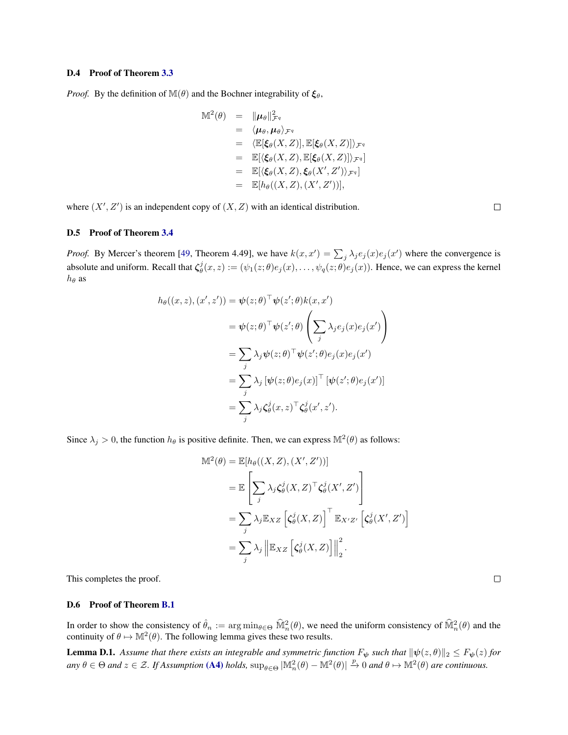### <span id="page-15-0"></span>D.4 Proof of Theorem [3.3](#page-4-0)

*Proof.* By the definition of  $\mathbb{M}(\theta)$  and the Bochner integrability of  $\xi_{\theta}$ ,

$$
\mathbb{M}^{2}(\theta) = \|\mu_{\theta}\|_{\mathcal{F}^{q}}^{2}
$$
\n
$$
= \langle \mu_{\theta}, \mu_{\theta} \rangle_{\mathcal{F}^{q}}
$$
\n
$$
= \langle \mathbb{E}[\xi_{\theta}(X, Z)], \mathbb{E}[\xi_{\theta}(X, Z)] \rangle_{\mathcal{F}^{q}}
$$
\n
$$
= \mathbb{E}[\langle \xi_{\theta}(X, Z), \mathbb{E}[\xi_{\theta}(X, Z)] \rangle_{\mathcal{F}^{q}}]
$$
\n
$$
= \mathbb{E}[\langle \xi_{\theta}(X, Z), \xi_{\theta}(X', Z') \rangle_{\mathcal{F}^{q}}]
$$
\n
$$
= \mathbb{E}[h_{\theta}((X, Z), (X', Z'))],
$$

where  $(X', Z')$  is an independent copy of  $(X, Z)$  with an identical distribution.

<span id="page-15-1"></span>D.5 Proof of Theorem [3.4](#page-4-6)

*Proof.* By Mercer's theorem [\[49,](#page-9-25) Theorem 4.49], we have  $k(x, x') = \sum_j \lambda_j e_j(x) e_j(x')$  where the convergence is absolute and uniform. Recall that  $\zeta^j_\theta(x,z) := (\psi_1(z;\theta)e_j(x), \dots, \psi_q(z;\theta)e_j(x))$ . Hence, we can express the kernel  $h_{\theta}$  as

$$
h_{\theta}((x, z), (x', z')) = \psi(z; \theta)^{\top} \psi(z'; \theta) k(x, x')
$$
  

$$
= \psi(z; \theta)^{\top} \psi(z'; \theta) \left( \sum_{j} \lambda_{j} e_{j}(x) e_{j}(x') \right)
$$
  

$$
= \sum_{j} \lambda_{j} \psi(z; \theta)^{\top} \psi(z'; \theta) e_{j}(x) e_{j}(x')
$$
  

$$
= \sum_{j} \lambda_{j} [\psi(z; \theta) e_{j}(x)]^{\top} [\psi(z'; \theta) e_{j}(x')]
$$
  

$$
= \sum_{j} \lambda_{j} \zeta_{\theta}^{j}(x, z)^{\top} \zeta_{\theta}^{j}(x', z').
$$

Since  $\lambda_j > 0$ , the function  $h_{\theta}$  is positive definite. Then, we can express  $\mathbb{M}^2(\theta)$  as follows:

$$
\mathbb{M}^{2}(\theta) = \mathbb{E}[h_{\theta}((X, Z), (X', Z'))]
$$
  
\n
$$
= \mathbb{E}\left[\sum_{j} \lambda_{j} \zeta_{\theta}^{j}(X, Z)^{\top} \zeta_{\theta}^{j}(X', Z')\right]
$$
  
\n
$$
= \sum_{j} \lambda_{j} \mathbb{E}_{XZ} \left[\zeta_{\theta}^{j}(X, Z)\right]^{\top} \mathbb{E}_{X'Z'} \left[\zeta_{\theta}^{j}(X', Z')\right]
$$
  
\n
$$
= \sum_{j} \lambda_{j} \left\|\mathbb{E}_{XZ} \left[\zeta_{\theta}^{j}(X, Z)\right]\right\|_{2}^{2}.
$$

This completes the proof.

### <span id="page-15-2"></span>D.6 Proof of Theorem [B.1](#page-11-2)

In order to show the consistency of  $\hat{\theta}_n := \arg \min_{\theta \in \Theta} \widehat{\mathbb{M}}_n^2(\theta)$ , we need the uniform consistency of  $\widehat{\mathbb{M}}_n^2(\theta)$  and the continuity of  $\theta \mapsto M^2(\theta)$ . The following lemma gives these two results.

<span id="page-15-3"></span>**Lemma D.1.** Assume that there exists an integrable and symmetric function  $F_{\psi}$  such that  $\|\psi(z,\theta)\|_2 \leq F_{\psi}(z)$  for  $\varphi$  and  $z \in \mathcal{Z}$ . If Assumption [\(A4\)](#page-2-6) holds,  $\sup_{\theta \in \Theta} |\mathbb{M}_n^2(\theta) - \mathbb{M}^2(\theta)| \stackrel{p}{\to} 0$  and  $\theta \mapsto \mathbb{M}^2(\theta)$  are continuous.

 $\Box$ 

 $\Box$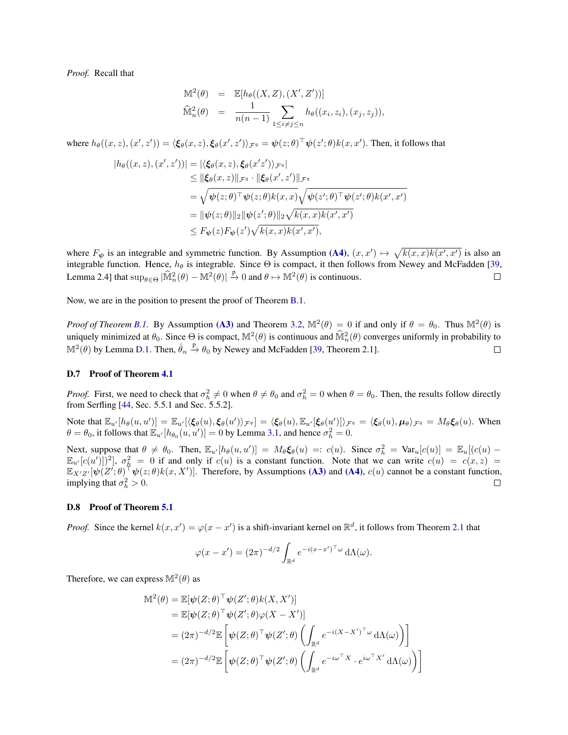*Proof.* Recall that

$$
\begin{array}{rcl}\n\mathbb{M}^2(\theta) & = & \mathbb{E}[h_{\theta}((X, Z), (X', Z'))] \\
\widehat{\mathbb{M}}_n^2(\theta) & = & \frac{1}{n(n-1)} \sum_{1 \le i \ne j \le n} h_{\theta}((x_i, z_i), (x_j, z_j)),\n\end{array}
$$

where  $h_\theta((x, z), (x', z')) = \langle \xi_\theta(x, z), \xi_\theta(x', z') \rangle_{\mathcal{F}^q} = \psi(z; \theta)^\top \psi(z'; \theta) k(x, x').$  Then, it follows that

$$
|h_{\theta}((x,z),(x',z'))| = |\langle \xi_{\theta}(x,z), \xi_{\theta}(x'z') \rangle_{\mathcal{F}^{q}}|
$$
  
\n
$$
\leq \|\xi_{\theta}(x,z)\|_{\mathcal{F}^{q}} \cdot \|\xi_{\theta}(x',z')\|_{\mathcal{F}^{q}}
$$
  
\n
$$
= \sqrt{\psi(z;\theta)^{\top}\psi(z;\theta)k(x,x)}\sqrt{\psi(z';\theta)^{\top}\psi(z';\theta)k(x',x')}
$$
  
\n
$$
= \|\psi(z;\theta)\|_{2} \|\psi(z';\theta)\|_{2} \sqrt{k(x,x)}k(x',x')
$$
  
\n
$$
\leq F_{\psi}(z)F_{\psi}(z')\sqrt{k(x,x)}k(x',x'),
$$

where  $F_{\psi}$  is an integrable and symmetric function. By Assumption [\(A4\)](#page-2-6),  $(x, x') \mapsto \sqrt{k(x, x)k(x', x')}$  is also an integrable function. Hence,  $h_{\theta}$  is integrable. Since  $\Theta$  is compact, it then follows from Newey and McFadden [\[39,](#page-9-44) Lemma 2.4] that  $\sup_{\theta \in \Theta} |\widehat{M}_n^2(\theta) - M^2(\theta)| \stackrel{p}{\to} 0$  and  $\theta \mapsto M^2(\theta)$  is continuous.  $\Box$ 

Now, we are in the position to present the proof of Theorem [B.1.](#page-11-2)

*Proof of Theorem [B.1.](#page-11-2)* By Assumption [\(A3\)](#page-2-5) and Theorem [3.2,](#page-3-0)  $\mathbb{M}^2(\theta) = 0$  if and only if  $\theta = \theta_0$ . Thus  $\mathbb{M}^2(\theta)$  is uniquely minimized at  $\theta_0$ . Since  $\Theta$  is compact,  $\mathbb{M}^2(\theta)$  is continuous and  $\widehat{\mathbb{M}}_n^2(\theta)$  converges uniformly in probability to  $\mathbb{M}^2(\theta)$  by Lemma [D.1.](#page-15-3) Then,  $\hat{\theta}_n \stackrel{p}{\rightarrow} \theta_0$  by Newey and McFadden [\[39,](#page-9-44) Theorem 2.1].  $\Box$ 

### <span id="page-16-0"></span>D.7 Proof of Theorem [4.1](#page-4-4)

*Proof.* First, we need to check that  $\sigma_h^2 \neq 0$  when  $\theta \neq \theta_0$  and  $\sigma_h^2 = 0$  when  $\theta = \theta_0$ . Then, the results follow directly from Serfling [\[44,](#page-9-30) Sec. 5.5.1 and Sec. 5.5.2].

Note that  $\mathbb{E}_{u'}[h_{\theta}(u, u')] = \mathbb{E}_{u'}[\langle \xi_{\theta}(u), \xi_{\theta}(u') \rangle_{\mathcal{F}^q}] = \langle \xi_{\theta}(u), \mathbb{E}_{u'}[\xi_{\theta}(u')] \rangle_{\mathcal{F}^q} = \langle \xi_{\theta}(u), \mu_{\theta} \rangle_{\mathcal{F}^q} = M_{\theta} \xi_{\theta}(u)$ . When  $\theta = \theta_0$ , it follows that  $\mathbb{E}_{u'}[h_{\theta_0}(u, u')] = 0$  by Lemma [3.1,](#page-3-1) and hence  $\sigma_h^2 = 0$ .

Next, suppose that  $\theta \neq \theta_0$ . Then,  $\mathbb{E}_{u'}[h_{\theta}(u, u')] = M_{\theta} \xi_{\theta}(u) =: c(u)$ . Since  $\sigma_h^2 = \text{Var}_u[c(u)] = \mathbb{E}_{u}[(c(u) \mathbb{E}_{u}[c(u')]$   $\Big)$ <sup>2</sup>,  $\sigma_h^2 = 0$  if and only if  $c(u)$  is a constant function. Note that we can write  $c(u) = c(x, z) =$  $\mathbb{E}_{X'Z'}[\psi(Z';\theta)^\top \psi(z;\theta)k(x,X')]$ . Therefore, by Assumptions [\(A3\)](#page-2-5) and [\(A4\)](#page-2-6),  $c(u)$  cannot be a constant function, implying that  $\sigma_h^2 > 0$ .  $\Box$ 

### <span id="page-16-1"></span>D.8 Proof of Theorem [5.1](#page-5-3)

*Proof.* Since the kernel  $k(x, x') = \varphi(x - x')$  is a shift-invariant kernel on  $\mathbb{R}^d$ , it follows from Theorem [2.1](#page-2-9) that

$$
\varphi(x - x') = (2\pi)^{-d/2} \int_{\mathbb{R}^d} e^{-i(x - x')^\top \omega} d\Lambda(\omega).
$$

Therefore, we can express  $\mathbb{M}^2(\theta)$  as

$$
\mathbb{M}^{2}(\theta) = \mathbb{E}[\psi(Z;\theta)^{\top}\psi(Z';\theta)k(X,X')]
$$
  
\n
$$
= \mathbb{E}[\psi(Z;\theta)^{\top}\psi(Z';\theta)\varphi(X-X')]
$$
  
\n
$$
= (2\pi)^{-d/2}\mathbb{E}\left[\psi(Z;\theta)^{\top}\psi(Z';\theta)\left(\int_{\mathbb{R}^{d}}e^{-i(X-X')^{\top}\omega}d\Lambda(\omega)\right)\right]
$$
  
\n
$$
= (2\pi)^{-d/2}\mathbb{E}\left[\psi(Z;\theta)^{\top}\psi(Z';\theta)\left(\int_{\mathbb{R}^{d}}e^{-i\omega^{\top}X}\cdot e^{i\omega^{\top}X'}d\Lambda(\omega)\right)\right]
$$